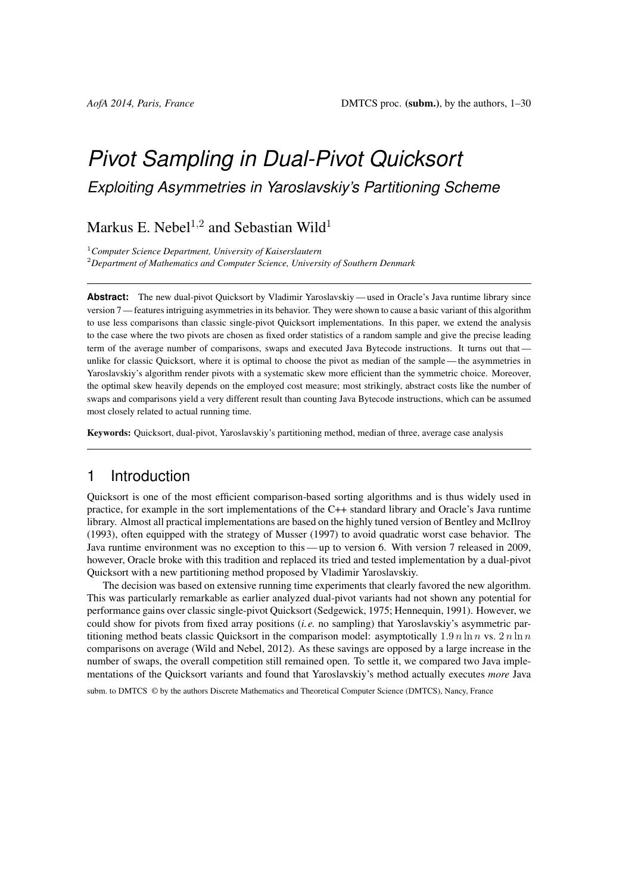# *Pivot Sampling in Dual-Pivot Quicksort Exploiting Asymmetries in Yaroslavskiy's Partitioning Scheme*

Markus E. Nebel<sup>1,2</sup> and Sebastian Wild<sup>1</sup>

<sup>1</sup>*Computer Science Department, University of Kaiserslautern*

<sup>2</sup>*Department of Mathematics and Computer Science, University of Southern Denmark*

**Abstract:** The new dual-pivot Quicksort by Vladimir Yaroslavskiy— used in Oracle's Java runtime library since version 7— features intriguing asymmetries in its behavior. They were shown to cause a basic variant of this algorithm to use less comparisons than classic single-pivot Quicksort implementations. In this paper, we extend the analysis to the case where the two pivots are chosen as fixed order statistics of a random sample and give the precise leading term of the average number of comparisons, swaps and executed Java Bytecode instructions. It turns out that unlike for classic Quicksort, where it is optimal to choose the pivot as median of the sample — the asymmetries in Yaroslavskiy's algorithm render pivots with a systematic skew more efficient than the symmetric choice. Moreover, the optimal skew heavily depends on the employed cost measure; most strikingly, abstract costs like the number of swaps and comparisons yield a very different result than counting Java Bytecode instructions, which can be assumed most closely related to actual running time.

Keywords: Quicksort, dual-pivot, Yaroslavskiy's partitioning method, median of three, average case analysis

## 1 Introduction

Quicksort is one of the most efficient comparison-based sorting algorithms and is thus widely used in practice, for example in the sort implementations of the C++ standard library and Oracle's Java runtime library. Almost all practical implementations are based on the highly tuned version of [Bentley and McIlroy](#page-10-0) [\(1993\)](#page-10-0), often equipped with the strategy of [Musser](#page-11-0) [\(1997\)](#page-11-0) to avoid quadratic worst case behavior. The Java runtime environment was no exception to this — up to version 6. With version 7 released in 2009, however, Oracle broke with this tradition and replaced its tried and tested implementation by a dual-pivot Quicksort with a new partitioning method proposed by Vladimir Yaroslavskiy.

The decision was based on extensive running time experiments that clearly favored the new algorithm. This was particularly remarkable as earlier analyzed dual-pivot variants had not shown any potential for performance gains over classic single-pivot Quicksort [\(Sedgewick, 1975;](#page-11-1) [Hennequin, 1991\)](#page-11-2). However, we could show for pivots from fixed array positions (*i.e.* no sampling) that Yaroslavskiy's asymmetric partitioning method beats classic Quicksort in the comparison model: asymptotically  $1.9 n \ln n$  vs.  $2 n \ln n$ comparisons on average [\(Wild and Nebel, 2012\)](#page-11-3). As these savings are opposed by a large increase in the number of swaps, the overall competition still remained open. To settle it, we compared two Java implementations of the Quicksort variants and found that Yaroslavskiy's method actually executes *more* Java

subm. to DMTCS  $\odot$  by the authors Discrete Mathematics and Theoretical Computer Science (DMTCS), Nancy, France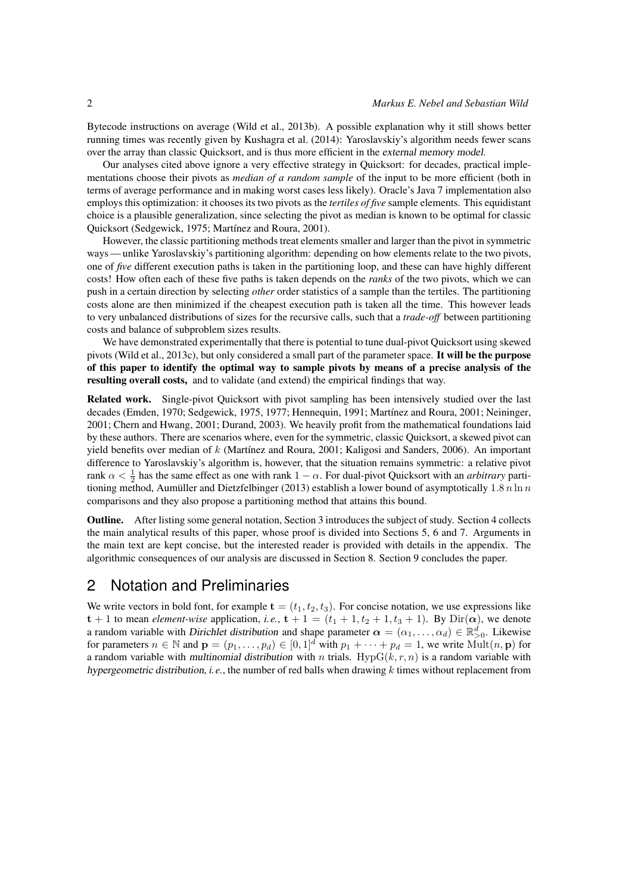Bytecode instructions on average [\(Wild et al., 2013b\)](#page-11-4). A possible explanation why it still shows better running times was recently given by [Kushagra et al.](#page-11-5) [\(2014\)](#page-11-5): Yaroslavskiy's algorithm needs fewer scans over the array than classic Quicksort, and is thus more efficient in the external memory model.

Our analyses cited above ignore a very effective strategy in Quicksort: for decades, practical implementations choose their pivots as *median of a random sample* of the input to be more efficient (both in terms of average performance and in making worst cases less likely). Oracle's Java 7 implementation also employs this optimization: it chooses its two pivots as the *tertiles of five* sample elements. This equidistant choice is a plausible generalization, since selecting the pivot as median is known to be optimal for classic Quicksort [\(Sedgewick, 1975;](#page-11-1) [Martínez and Roura, 2001\)](#page-11-6).

However, the classic partitioning methods treat elements smaller and larger than the pivot in symmetric ways — unlike Yaroslavskiy's partitioning algorithm: depending on how elements relate to the two pivots, one of *five* different execution paths is taken in the partitioning loop, and these can have highly different costs! How often each of these five paths is taken depends on the *ranks* of the two pivots, which we can push in a certain direction by selecting *other* order statistics of a sample than the tertiles. The partitioning costs alone are then minimized if the cheapest execution path is taken all the time. This however leads to very unbalanced distributions of sizes for the recursive calls, such that a *trade-off* between partitioning costs and balance of subproblem sizes results.

We have demonstrated experimentally that there is potential to tune dual-pivot Quicksort using skewed pivots [\(Wild et al., 2013c\)](#page-11-7), but only considered a small part of the parameter space. It will be the purpose of this paper to identify the optimal way to sample pivots by means of a precise analysis of the resulting overall costs, and to validate (and extend) the empirical findings that way.

Related work. Single-pivot Quicksort with pivot sampling has been intensively studied over the last decades [\(Emden, 1970;](#page-11-8) [Sedgewick, 1975,](#page-11-1) [1977;](#page-11-9) [Hennequin, 1991;](#page-11-2) [Martínez and Roura, 2001;](#page-11-6) [Neininger,](#page-11-10) [2001;](#page-11-10) [Chern and Hwang, 2001;](#page-11-11) [Durand, 2003\)](#page-11-12). We heavily profit from the mathematical foundations laid by these authors. There are scenarios where, even for the symmetric, classic Quicksort, a skewed pivot can yield benefits over median of k [\(Martínez and Roura, 2001;](#page-11-6) [Kaligosi and Sanders, 2006\)](#page-11-13). An important difference to Yaroslavskiy's algorithm is, however, that the situation remains symmetric: a relative pivot rank  $\alpha < \frac{1}{2}$  has the same effect as one with rank  $1 - \alpha$ . For dual-pivot Quicksort with an *arbitrary* parti-tioning method, [Aumüller and Dietzfelbinger](#page-10-1) [\(2013\)](#page-10-1) establish a lower bound of asymptotically 1.8 n ln n comparisons and they also propose a partitioning method that attains this bound.

Outline. After listing some general notation, [Section 3](#page-2-0) introduces the subject of study. [Section 4](#page-3-0) collects the main analytical results of this paper, whose proof is divided into [Sections 5,](#page-4-0) [6](#page-7-0) and [7.](#page-7-1) Arguments in the main text are kept concise, but the interested reader is provided with details in the appendix. The algorithmic consequences of our analysis are discussed in [Section 8.](#page-8-0) [Section 9](#page-10-2) concludes the paper.

## 2 Notation and Preliminaries

We write vectors in bold font, for example  $\mathbf{t} = (t_1, t_2, t_3)$ . For concise notation, we use expressions like  $t + 1$  to mean *element-wise* application, *i.e.*,  $t + 1 = (t_1 + 1, t_2 + 1, t_3 + 1)$ . By Dir( $\alpha$ ), we denote a random variable with Dirichlet distribution and shape parameter  $\alpha = (\alpha_1, \dots, \alpha_d) \in \mathbb{R}_{>0}^d$ . Likewise for parameters  $n \in \mathbb{N}$  and  $\mathbf{p} = (p_1, \ldots, p_d) \in [0, 1]^d$  with  $p_1 + \cdots + p_d = 1$ , we write  $\text{Mult}(n, \mathbf{p})$  for a random variable with multinomial distribution with n trials. Hyp $G(k, r, n)$  is a random variable with hypergeometric distribution, *i.e.*, the number of red balls when drawing k times without replacement from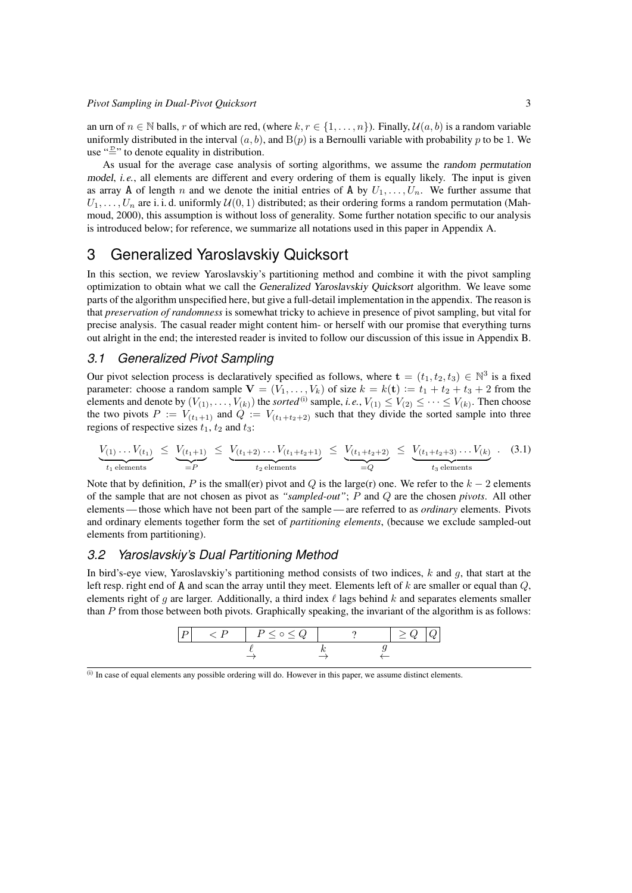an urn of  $n \in \mathbb{N}$  balls, r of which are red, (where  $k, r \in \{1, \ldots, n\}$ ). Finally,  $\mathcal{U}(a, b)$  is a random variable uniformly distributed in the interval  $(a, b)$ , and  $B(p)$  is a Bernoulli variable with probability p to be 1. We use " $\stackrel{\text{w}}{=}$ " to denote equality in distribution.

As usual for the average case analysis of sorting algorithms, we assume the random permutation model, *i.e.*, all elements are different and every ordering of them is equally likely. The input is given as array A of length n and we denote the initial entries of A by  $U_1, \ldots, U_n$ . We further assume that  $U_1, \ldots, U_n$  are i. i. d. uniformly  $\mathcal{U}(0, 1)$  distributed; as their ordering forms a random permutation [\(Mah](#page-11-14)[moud, 2000\)](#page-11-14), this assumption is without loss of generality. Some further notation specific to our analysis is introduced below; for reference, we summarize all notations used in this paper in [Appendix A.](#page-12-0)

## <span id="page-2-0"></span>3 Generalized Yaroslavskiy Quicksort

In this section, we review Yaroslavskiy's partitioning method and combine it with the pivot sampling optimization to obtain what we call the Generalized Yaroslavskiy Quicksort algorithm. We leave some parts of the algorithm unspecified here, but give a full-detail implementation in the appendix. The reason is that *preservation of randomness* is somewhat tricky to achieve in presence of pivot sampling, but vital for precise analysis. The casual reader might content him- or herself with our promise that everything turns out alright in the end; the interested reader is invited to follow our discussion of this issue in [Appendix B.](#page-14-0)

### <span id="page-2-2"></span>*3.1 Generalized Pivot Sampling*

Our pivot selection process is declaratively specified as follows, where  $\mathbf{t} = (t_1, t_2, t_3) \in \mathbb{N}^3$  is a fixed parameter: choose a random sample  $V = (V_1, \ldots, V_k)$  of size  $k = k(t) := t_1 + t_2 + t_3 + 2$  from the elements and denote by  $(V_{(1)},\ldots,V_{(k)})$  the *sorted* <sup>[\(i\)](#page-2-1)</sup> sample, *i.e.*,  $V_{(1)} \leq V_{(2)} \leq \cdots \leq V_{(k)}$ . Then choose the two pivots  $P := V_{(t_1+1)}$  and  $Q := V_{(t_1+t_2+2)}$  such that they divide the sorted sample into three regions of respective sizes  $t_1$ ,  $t_2$  and  $t_3$ :

$$
\underbrace{V_{(1)}\dots V_{(t_1)}}_{t_1 \text{ elements}} \leq \underbrace{V_{(t_1+1)}}_{=P} \leq \underbrace{V_{(t_1+2)}\dots V_{(t_1+t_2+1)}}_{t_2 \text{ elements}} \leq \underbrace{V_{(t_1+t_2+2)}}_{=Q} \leq \underbrace{V_{(t_1+t_2+3)}\dots V_{(k)}}_{t_3 \text{ elements}}.
$$
\n(3.1)

Note that by definition, P is the small(er) pivot and Q is the large(r) one. We refer to the  $k - 2$  elements of the sample that are not chosen as pivot as *"sampled-out"*; P and Q are the chosen *pivots*. All other elements — those which have not been part of the sample — are referred to as *ordinary* elements. Pivots and ordinary elements together form the set of *partitioning elements*, (because we exclude sampled-out elements from partitioning).

### <span id="page-2-3"></span>*3.2 Yaroslavskiy's Dual Partitioning Method*

In bird's-eye view, Yaroslavskiy's partitioning method consists of two indices,  $k$  and  $q$ , that start at the left resp. right end of  $\bf{A}$  and scan the array until they meet. Elements left of k are smaller or equal than  $\bf{Q}$ , elements right of q are larger. Additionally, a third index  $\ell$  lags behind k and separates elements smaller than  $P$  from those between both pivots. Graphically speaking, the invariant of the algorithm is as follows:

| $\langle P \rangle$ | $P \leq \circ \leq Q$ |  | $\perp$ 2 $Q$ |  |
|---------------------|-----------------------|--|---------------|--|
|                     |                       |  |               |  |

<span id="page-2-1"></span><sup>(</sup>i) In case of equal elements any possible ordering will do. However in this paper, we assume distinct elements.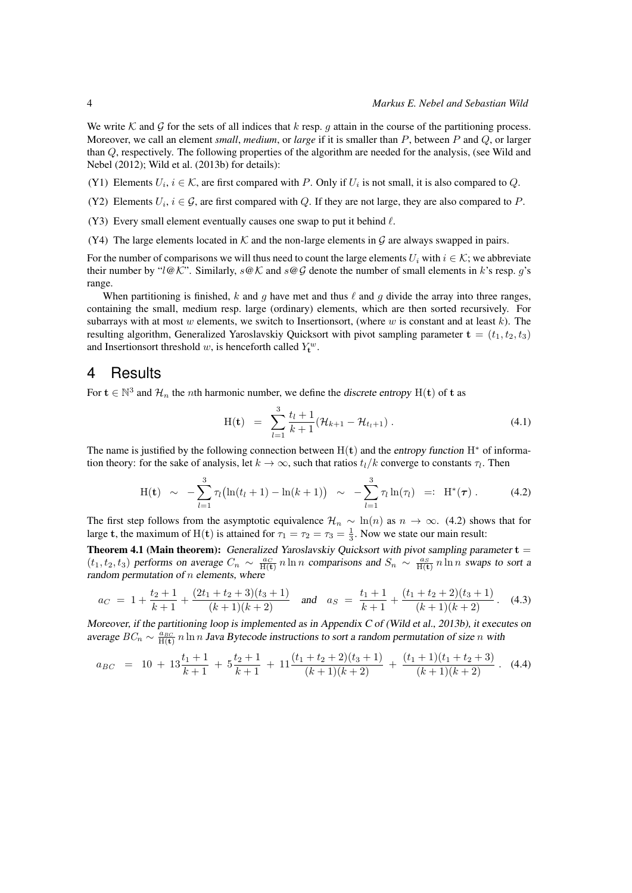We write K and G for the sets of all indices that k resp. g attain in the course of the partitioning process. Moreover, we call an element *small*, *medium*, or *large* if it is smaller than P, between P and Q, or larger than Q, respectively. The following properties of the algorithm are needed for the analysis, (see [Wild and](#page-11-3) [Nebel](#page-11-3) [\(2012\)](#page-11-3); [Wild et al.](#page-11-4) [\(2013b\)](#page-11-4) for details):

- <span id="page-3-3"></span>(Y1) Elements  $U_i$ ,  $i \in \mathcal{K}$ , are first compared with P. Only if  $U_i$  is not small, it is also compared to Q.
- <span id="page-3-4"></span>(Y2) Elements  $U_i$ ,  $i \in \mathcal{G}$ , are first compared with Q. If they are not large, they are also compared to P.
- <span id="page-3-5"></span>(Y3) Every small element eventually causes one swap to put it behind  $\ell$ .
- <span id="page-3-6"></span>(Y4) The large elements located in  $K$  and the non-large elements in G are always swapped in pairs.

For the number of comparisons we will thus need to count the large elements  $U_i$  with  $i \in \mathcal{K}$ ; we abbreviate their number by " $l@K$ ". Similarly,  $s@K$  and  $s@G$  denote the number of small elements in k's resp. g's range.

When partitioning is finished, k and g have met and thus  $\ell$  and g divide the array into three ranges, containing the small, medium resp. large (ordinary) elements, which are then sorted recursively. For subarrays with at most w elements, we switch to Insertionsort, (where w is constant and at least  $k$ ). The resulting algorithm, Generalized Yaroslavskiy Quicksort with pivot sampling parameter  $\mathbf{t} = (t_1, t_2, t_3)$ and Insertionsort threshold w, is henceforth called  $Y_t^w$ .

### <span id="page-3-0"></span>4 Results

For  $t \in \mathbb{N}^3$  and  $\mathcal{H}_n$  the *n*th harmonic number, we define the *discrete entropy* H(t) of t as

<span id="page-3-7"></span><span id="page-3-1"></span>
$$
H(t) = \sum_{l=1}^{3} \frac{t_l + 1}{k + 1} (\mathcal{H}_{k+1} - \mathcal{H}_{t_l+1}). \tag{4.1}
$$

The name is justified by the following connection between  $H(t)$  and the entropy function  $H^*$  of information theory: for the sake of analysis, let  $k \to \infty$ , such that ratios  $t_l/k$  converge to constants  $\tau_l$ . Then

$$
H(t) \sim -\sum_{l=1}^{3} \tau_l \bigl( \ln(t_l+1) - \ln(k+1) \bigr) \sim -\sum_{l=1}^{3} \tau_l \ln(\tau_l) =: H^*(\tau) . \qquad (4.2)
$$

The first step follows from the asymptotic equivalence  $\mathcal{H}_n \sim \ln(n)$  as  $n \to \infty$ . [\(4.2\)](#page-3-1) shows that for large **t**, the maximum of H(**t**) is attained for  $\tau_1 = \tau_2 = \tau_3 = \frac{1}{3}$ . Now we state our main result:

<span id="page-3-2"></span>**Theorem 4.1 (Main theorem):** Generalized Yaroslavskiy Quicksort with pivot sampling parameter  $t =$  $(t_1, t_2, t_3)$  performs on average  $C_n \sim \frac{a_C}{H(t)} n \ln n$  comparisons and  $S_n \sim \frac{a_S}{H(t)} n \ln n$  swaps to sort a random permutation of  $n$  elements, where

$$
a_C = 1 + \frac{t_2 + 1}{k_1 + 1} + \frac{(2t_1 + t_2 + 3)(t_3 + 1)}{(k_1 + 1)(k_1 + 2)} \quad \text{and} \quad a_S = \frac{t_1 + 1}{k_1 + 1} + \frac{(t_1 + t_2 + 2)(t_3 + 1)}{(k_1 + 1)(k_1 + 2)}.
$$
 (4.3)

Moreover, if the partitioning loop is implemented as in Appendix C of [\(Wild et al., 2013b\)](#page-11-4), it executes on average  $BC_n \sim \frac{a_{BC}}{H(t)} n \ln n$  Java Bytecode instructions to sort a random permutation of size n with

$$
a_{BC} = 10 + 13\frac{t_1+1}{k+1} + 5\frac{t_2+1}{k+1} + 11\frac{(t_1+t_2+2)(t_3+1)}{(k+1)(k+2)} + \frac{(t_1+1)(t_1+t_2+3)}{(k+1)(k+2)}.
$$
 (4.4)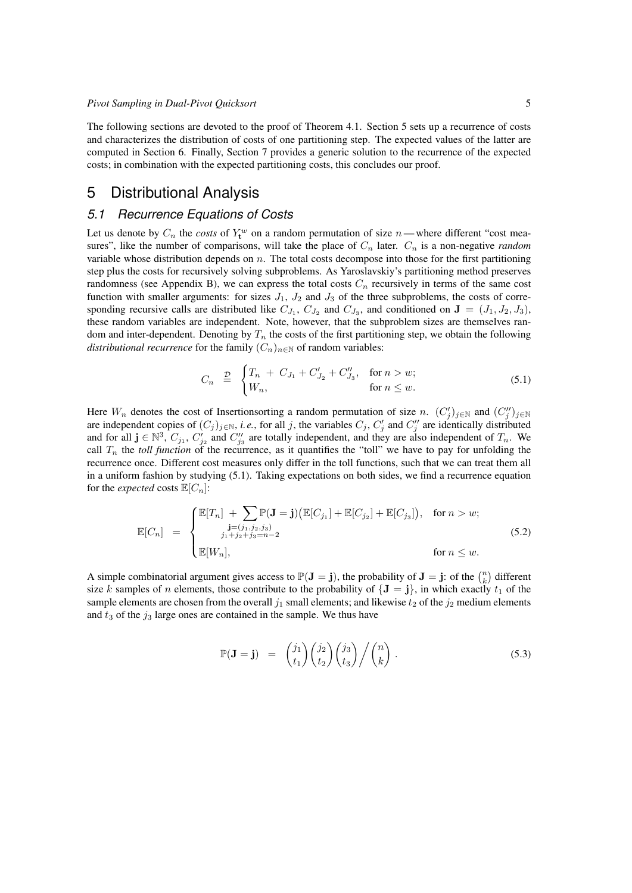The following sections are devoted to the proof of [Theorem 4.1.](#page-3-2) [Section 5](#page-4-0) sets up a recurrence of costs and characterizes the distribution of costs of one partitioning step. The expected values of the latter are computed in [Section 6.](#page-7-0) Finally, [Section 7](#page-7-1) provides a generic solution to the recurrence of the expected costs; in combination with the expected partitioning costs, this concludes our proof.

## <span id="page-4-0"></span>5 Distributional Analysis

### <span id="page-4-4"></span>*5.1 Recurrence Equations of Costs*

Let us denote by  $C_n$  the *costs* of  $Y_t^w$  on a random permutation of size *n* — where different "cost measures", like the number of comparisons, will take the place of  $C_n$  later.  $C_n$  is a non-negative *random* variable whose distribution depends on  $n$ . The total costs decompose into those for the first partitioning step plus the costs for recursively solving subproblems. As Yaroslavskiy's partitioning method preserves randomness (see [Appendix B\)](#page-14-0), we can express the total costs  $C_n$  recursively in terms of the same cost function with smaller arguments: for sizes  $J_1$ ,  $J_2$  and  $J_3$  of the three subproblems, the costs of corresponding recursive calls are distributed like  $C_{J_1}$ ,  $C_{J_2}$  and  $C_{J_3}$ , and conditioned on  $\mathbf{J} = (J_1, J_2, J_3)$ , these random variables are independent. Note, however, that the subproblem sizes are themselves random and inter-dependent. Denoting by  $T_n$  the costs of the first partitioning step, we obtain the following *distributional recurrence* for the family  $(C_n)_{n\in\mathbb{N}}$  of random variables:

<span id="page-4-1"></span>
$$
C_n \stackrel{\mathcal{D}}{=} \begin{cases} T_n + C_{J_1} + C'_{J_2} + C''_{J_3}, & \text{for } n > w; \\ W_n, & \text{for } n \le w. \end{cases} \tag{5.1}
$$

Here  $W_n$  denotes the cost of Insertionsorting a random permutation of size n.  $(C'_j)_{j\in\mathbb{N}}$  and  $(C''_j)_{j\in\mathbb{N}}$ are independent copies of  $(C_j)_{j \in \mathbb{N}}$ , *i.e.*, for all j, the variables  $C_j$ ,  $C'_j$  and  $C''_j$  are identically distributed and for all  $\mathbf{j} \in \mathbb{N}^3$ ,  $C_{j_1}$ ,  $C'_{j_2}$  and  $C''_{j_3}$  are totally independent, and they are also independent of  $T_n$ . We call  $T_n$  the *toll function* of the recurrence, as it quantifies the "toll" we have to pay for unfolding the recurrence once. Different cost measures only differ in the toll functions, such that we can treat them all in a uniform fashion by studying [\(5.1\)](#page-4-1). Taking expectations on both sides, we find a recurrence equation for the *expected* costs  $\mathbb{E}[C_n]$ :

$$
\mathbb{E}[C_n] = \begin{cases} \mathbb{E}[T_n] + \sum_{\substack{\mathbf{j} = (j_1, j_2, j_3) \\ j_1 + j_2 + j_3 = n - 2}} \mathbb{P}(\mathbf{J} = \mathbf{j}) (\mathbb{E}[C_{j_1}] + \mathbb{E}[C_{j_2}] + \mathbb{E}[C_{j_3}]), & \text{for } n > w; \\ \mathbb{E}[W_n], & \text{for } n \le w. \end{cases}
$$
(5.2)

A simple combinatorial argument gives access to  $\mathbb{P}(\mathbf{J} = \mathbf{j})$ , the probability of  $\mathbf{J} = \mathbf{j}$ : of the  $\binom{n}{k}$  different size k samples of n elements, those contribute to the probability of  ${J = j}$ , in which exactly  $t_1$  of the sample elements are chosen from the overall  $j_1$  small elements; and likewise  $t_2$  of the  $j_2$  medium elements and  $t_3$  of the  $j_3$  large ones are contained in the sample. We thus have

<span id="page-4-3"></span><span id="page-4-2"></span>
$$
\mathbb{P}(\mathbf{J} = \mathbf{j}) = {j_1 \choose t_1} {j_2 \choose t_2} {j_3 \choose t_3} / {n \choose k}.
$$
 (5.3)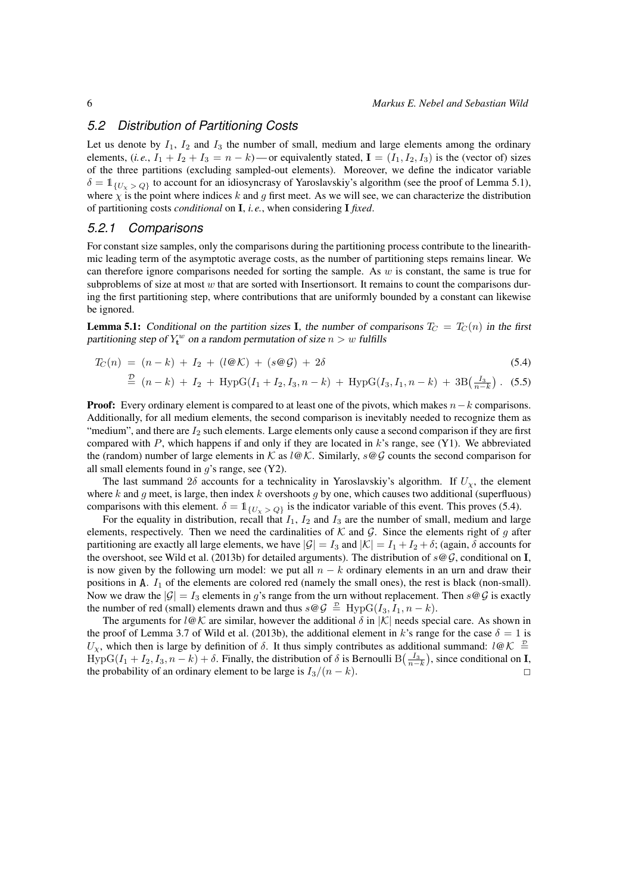### *5.2 Distribution of Partitioning Costs*

Let us denote by  $I_1$ ,  $I_2$  and  $I_3$  the number of small, medium and large elements among the ordinary elements,  $(i.e., I_1 + I_2 + I_3 = n - k)$ —or equivalently stated,  $I = (I_1, I_2, I_3)$  is the (vector of) sizes of the three partitions (excluding sampled-out elements). Moreover, we define the indicator variable  $\delta = \mathbb{1}_{\{U_{\nu} > Q\}}$  to account for an idiosyncrasy of Yaroslavskiy's algorithm (see the proof of [Lemma 5.1\)](#page-5-0), where  $\chi$  is the point where indices k and g first meet. As we will see, we can characterize the distribution of partitioning costs *conditional* on I, *i.e.*, when considering I *fixed*.

#### *5.2.1 Comparisons*

For constant size samples, only the comparisons during the partitioning process contribute to the linearithmic leading term of the asymptotic average costs, as the number of partitioning steps remains linear. We can therefore ignore comparisons needed for sorting the sample. As  $w$  is constant, the same is true for subproblems of size at most  $w$  that are sorted with Insertionsort. It remains to count the comparisons during the first partitioning step, where contributions that are uniformly bounded by a constant can likewise be ignored.

<span id="page-5-0"></span>**Lemma 5.1:** Conditional on the partition sizes I, the number of comparisons  $T_C = T_C(n)$  in the first partitioning step of  $Y_t^w$  on a random permutation of size  $n > w$  fulfills

$$
T_C(n) = (n-k) + I_2 + (l \mathcal{QK}) + (s \mathcal{QG}) + 2\delta \tag{5.4}
$$

<span id="page-5-1"></span>
$$
\stackrel{\mathcal{D}}{=} (n-k) + I_2 + \text{HypG}(I_1 + I_2, I_3, n-k) + \text{HypG}(I_3, I_1, n-k) + 3\text{B}(\frac{I_3}{n-k}). \tag{5.5}
$$

**Proof:** Every ordinary element is compared to at least one of the pivots, which makes  $n-k$  comparisons. Additionally, for all medium elements, the second comparison is inevitably needed to recognize them as "medium", and there are  $I_2$  such elements. Large elements only cause a second comparison if they are first compared with P, which happens if and only if they are located in  $k$ 's range, see [\(Y1\).](#page-3-3) We abbreviated the (random) number of large elements in K as  $l \mathcal{Q} \mathcal{K}$ . Similarly,  $s \mathcal{Q} \mathcal{G}$  counts the second comparison for all small elements found in  $g$ 's range, see [\(Y2\).](#page-3-4)

The last summand  $2\delta$  accounts for a technicality in Yaroslavskiy's algorithm. If  $U_{\gamma}$ , the element where  $k$  and  $g$  meet, is large, then index  $k$  overshoots  $g$  by one, which causes two additional (superfluous) comparisons with this element.  $\delta = \mathbb{1}_{\{U_{\nu} > Q\}}$  is the indicator variable of this event. This proves [\(5.4\)](#page-5-1).

For the equality in distribution, recall that  $I_1$ ,  $I_2$  and  $I_3$  are the number of small, medium and large elements, respectively. Then we need the cardinalities of  $K$  and  $G$ . Since the elements right of q after partitioning are exactly all large elements, we have  $|\mathcal{G}| = I_3$  and  $|\mathcal{K}| = I_1 + I_2 + \delta$ ; (again,  $\delta$  accounts for the overshoot, see [Wild et al.](#page-11-4) [\(2013b\)](#page-11-4) for detailed arguments). The distribution of s*@*G, conditional on I, is now given by the following urn model: we put all  $n - k$  ordinary elements in an urn and draw their positions in A.  $I_1$  of the elements are colored red (namely the small ones), the rest is black (non-small). Now we draw the  $|\mathcal{G}| = I_3$  elements in g's range from the urn without replacement. Then  $s \mathcal{Q} \mathcal{G}$  is exactly the number of red (small) elements drawn and thus  $s \circledcirc \mathcal{G} \triangleq \text{HypG}(I_3, I_1, n - k)$ .

The arguments for  $l\omega K$  are similar, however the additional  $\delta$  in |K| needs special care. As shown in the proof of Lemma 3.7 of [Wild et al.](#page-11-4) [\(2013b\)](#page-11-4), the additional element in k's range for the case  $\delta = 1$  is U<sub>x</sub>, which then is large by definition of δ. It thus simply contributes as additional summand: l@K  $\triangleq$  $\text{HypG}(I_1 + I_2, I_3, n - k) + \delta$ . Finally, the distribution of  $\delta$  is Bernoulli  $B(\frac{I_3}{n-k})$ , since conditional on **I**, the probability of an ordinary element to be large is  $I_3/(n-k)$ .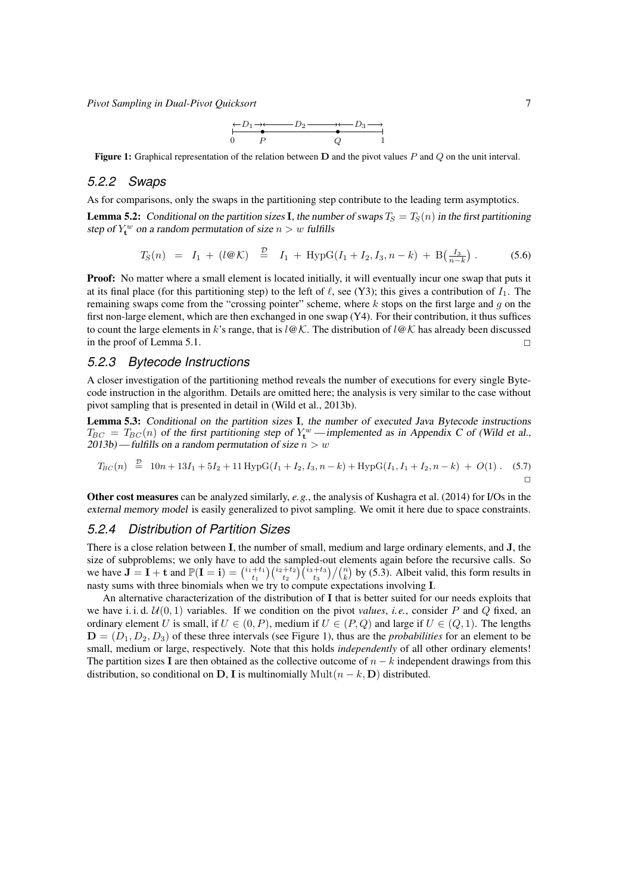*Pivot Sampling in Dual-Pivot Quicksort* 7

<span id="page-6-0"></span>
$$
\begin{array}{ccc}\n & -D_1 \rightarrow & D_2 \rightarrow & D_3 \rightarrow \\
\hline\n0 & P & Q & 1\n\end{array}
$$

**Figure 1:** Graphical representation of the relation between  $D$  and the pivot values  $P$  and  $Q$  on the unit interval.

### *5.2.2 Swaps*

As for comparisons, only the swaps in the partitioning step contribute to the leading term asymptotics.

<span id="page-6-1"></span>**Lemma 5.2:** Conditional on the partition sizes I, the number of swaps  $T_S = T_S(n)$  in the first partitioning step of  $Y_t^w$  on a random permutation of size  $n > w$  fulfills

$$
T_S(n) = I_1 + (l \mathcal{Q} \mathcal{K}) \stackrel{\mathcal{D}}{=} I_1 + \text{HypG}(I_1 + I_2, I_3, n - k) + \text{B}\left(\frac{I_3}{n - k}\right). \tag{5.6}
$$

**Proof:** No matter where a small element is located initially, it will eventually incur one swap that puts it at its final place (for this partitioning step) to the left of  $\ell$ , see [\(Y3\);](#page-3-5) this gives a contribution of  $I_1$ . The remaining swaps come from the "crossing pointer" scheme, where  $k$  stops on the first large and  $g$  on the first non-large element, which are then exchanged in one swap [\(Y4\).](#page-3-6) For their contribution, it thus suffices to count the large elements in k's range, that is l*@*K. The distribution of l*@*K has already been discussed in the proof of [Lemma 5.1.](#page-5-0)  $\Box$ 

#### *5.2.3 Bytecode Instructions*

A closer investigation of the partitioning method reveals the number of executions for every single Bytecode instruction in the algorithm. Details are omitted here; the analysis is very similar to the case without pivot sampling that is presented in detail in [\(Wild et al., 2013b\)](#page-11-4).

<span id="page-6-2"></span>Lemma 5.3: Conditional on the partition sizes I, the number of executed Java Bytecode instructions  $T_{BC} = T_{BC}(n)$  of the first partitioning step of  $Y_t^w$  — implemented as in Appendix C of [\(Wild et al.,](#page-11-4) [2013b\)](#page-11-4) — fulfills on a random permutation of size  $n > w$ 

$$
T_{BC}(n) \stackrel{D}{=} 10n + 13I_1 + 5I_2 + 11 \text{ HypG}(I_1 + I_2, I_3, n - k) + \text{HypG}(I_1, I_1 + I_2, n - k) + O(1). \tag{5.7}
$$

Other cost measures can be analyzed similarly, *e.g.*, the analysis of [Kushagra et al.](#page-11-5) [\(2014\)](#page-11-5) for I/Os in the external memory model is easily generalized to pivot sampling. We omit it here due to space constraints.

### *5.2.4 Distribution of Partition Sizes*

There is a close relation between I, the number of small, medium and large ordinary elements, and J, the size of subproblems; we only have to add the sampled-out elements again before the recursive calls. So we have  $\mathbf{J} = \mathbf{I} + \mathbf{t}$  and  $\mathbb{P}(\mathbf{I} = \mathbf{i}) = \binom{i_1 + t_1}{t_1} \binom{i_2 + t_2}{t_2} \binom{i_3 + t_3}{t_3} / \binom{n}{k}$  by [\(5.3\)](#page-4-2). Albeit valid, this form results in nasty sums with three binomials when we try to compute expectations involving I.

An alternative characterization of the distribution of I that is better suited for our needs exploits that we have i. i. d.  $U(0, 1)$  variables. If we condition on the pivot *values*, *i.e.*, consider P and Q fixed, an ordinary element U is small, if  $U \in (0, P)$ , medium if  $U \in (P, Q)$  and large if  $U \in (Q, 1)$ . The lengths  $D = (D_1, D_2, D_3)$  of these three intervals (see [Figure 1\)](#page-6-0), thus are the *probabilities* for an element to be small, medium or large, respectively. Note that this holds *independently* of all other ordinary elements! The partition sizes I are then obtained as the collective outcome of  $n - k$  independent drawings from this distribution, so conditional on D, I is multinomially Mult $(n - k, D)$  distributed.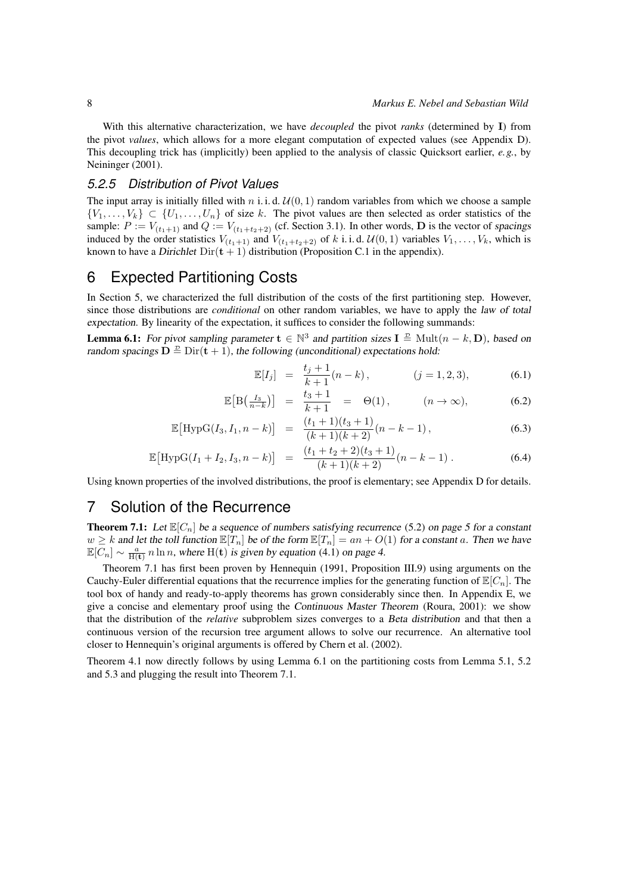With this alternative characterization, we have *decoupled* the pivot *ranks* (determined by I) from the pivot *values*, which allows for a more elegant computation of expected values (see [Appendix D\)](#page-24-0). This decoupling trick has (implicitly) been applied to the analysis of classic Quicksort earlier, *e.g.*, by [Neininger](#page-11-10) [\(2001\)](#page-11-10).

### *5.2.5 Distribution of Pivot Values*

The input array is initially filled with n i.i.d.  $U(0, 1)$  random variables from which we choose a sample  $\{V_1, \ldots, V_k\} \subset \{U_1, \ldots, U_n\}$  of size k. The pivot values are then selected as order statistics of the sample:  $P := V_{(t_1+1)}$  and  $Q := V_{(t_1+t_2+2)}$  (cf. [Section 3.1\)](#page-2-2). In other words, **D** is the vector of spacings induced by the order statistics  $V_{(t_1+1)}$  and  $V_{(t_1+t_2+2)}$  of k i.i.d.  $\mathcal{U}(0,1)$  variables  $V_1,\ldots,V_k$ , which is known to have a Dirichlet  $Dir(t + 1)$  distribution [\(Proposition C.1](#page-21-0) in the appendix).

## <span id="page-7-0"></span>6 Expected Partitioning Costs

In [Section 5,](#page-4-0) we characterized the full distribution of the costs of the first partitioning step. However, since those distributions are *conditional* on other random variables, we have to apply the law of total expectation. By linearity of the expectation, it suffices to consider the following summands:

<span id="page-7-3"></span>**Lemma 6.1:** For pivot sampling parameter  $\mathbf{t} \in \mathbb{N}^3$  and partition sizes  $\mathbf{I} \triangleq \text{Mult}(n - k, \mathbf{D})$ , based on random spacings  $\mathbf{D} \stackrel{\mathcal{D}}{=} \text{Dir}(\mathbf{t} + 1)$ , the following (unconditional) expectations hold:

$$
\mathbb{E}[I_j] = \frac{t_j + 1}{k + 1}(n - k), \qquad (j = 1, 2, 3), \qquad (6.1)
$$

$$
\mathbb{E}\big[\mathcal{B}\big(\tfrac{I_3}{n-k}\big)\big] = \frac{t_3+1}{k+1} = \Theta(1), \qquad (n \to \infty), \tag{6.2}
$$

$$
\mathbb{E}\big[\text{HypG}(I_3, I_1, n-k)\big] = \frac{(t_1+1)(t_3+1)}{(k+1)(k+2)}(n-k-1),\tag{6.3}
$$

$$
\mathbb{E}\big[\text{HypG}(I_1 + I_2, I_3, n-k)\big] = \frac{(t_1 + t_2 + 2)(t_3 + 1)}{(k+1)(k+2)}(n-k-1) \,. \tag{6.4}
$$

Using known properties of the involved distributions, the proof is elementary; see [Appendix D](#page-24-0) for details.

## <span id="page-7-1"></span>7 Solution of the Recurrence

<span id="page-7-2"></span>**Theorem 7.1:** Let  $\mathbb{E}[C_n]$  be a sequence of numbers satisfying [recurrence](#page-4-3) [\(5.2\)](#page-4-3) on page 5 for a constant  $w \geq k$  and let the toll function  $\mathbb{E}[T_n]$  be of the form  $\mathbb{E}[T_n] = an + O(1)$  for a constant a. Then we have  $\mathbb{E}[C_n] \sim \frac{a}{\mathbb{H}(\mathbf{t})} n \ln n$ , where  $\mathbb{H}(\mathbf{t})$  is given by equation [\(4.1\)](#page-3-7) [on page 4.](#page-3-7)

[Theorem 7.1](#page-7-2) has first been proven by [Hennequin](#page-11-2) [\(1991,](#page-11-2) Proposition III.9) using arguments on the Cauchy-Euler differential equations that the recurrence implies for the generating function of  $\mathbb{E}[C_n]$ . The tool box of handy and ready-to-apply theorems has grown considerably since then. In [Appendix E,](#page-25-0) we give a concise and elementary proof using the Continuous Master Theorem [\(Roura, 2001\)](#page-11-15): we show that the distribution of the *relative* subproblem sizes converges to a Beta distribution and that then a continuous version of the recursion tree argument allows to solve our recurrence. An alternative tool closer to [Hennequin'](#page-11-2)s original arguments is offered by [Chern et al.](#page-11-16) [\(2002\)](#page-11-16).

[Theorem 4.1](#page-3-2) now directly follows by using [Lemma 6.1](#page-7-3) on the partitioning costs from [Lemma 5.1,](#page-5-0) [5.2](#page-6-1) and [5.3](#page-6-2) and plugging the result into [Theorem 7.1.](#page-7-2)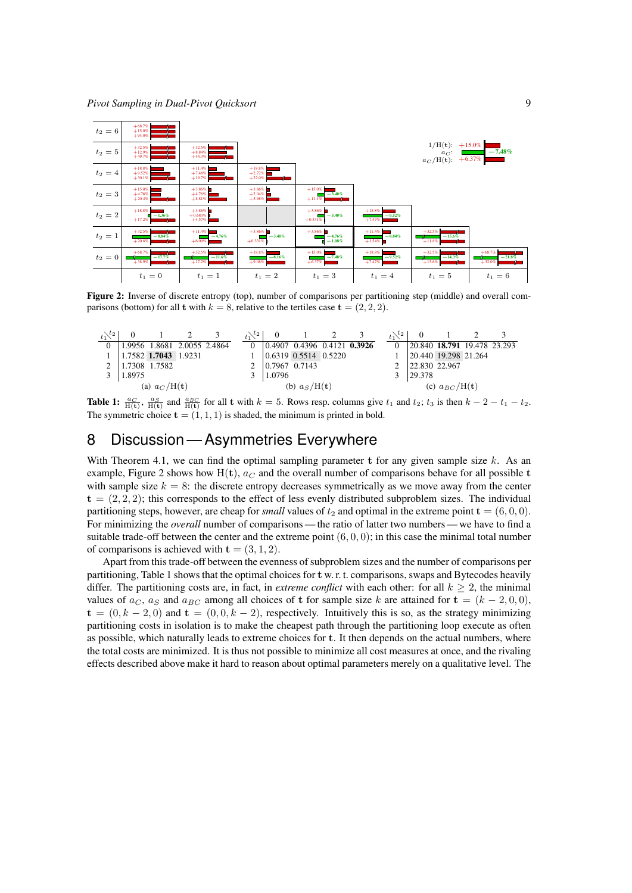

<span id="page-8-1"></span>Figure 2: Inverse of discrete entropy (top), number of comparisons per partitioning step (middle) and overall comparisons (bottom) for all t with  $k = 8$ , relative to the tertiles case  $t = (2, 2, 2)$ .

<span id="page-8-2"></span>

**Table 1:**  $\frac{a_C}{H(t)}$ ,  $\frac{a_S}{H(t)}$  and  $\frac{a_{BC}}{H(t)}$  for all t with  $k = 5$ . Rows resp. columns give  $t_1$  and  $t_2$ ;  $t_3$  is then  $k - 2 - t_1 - t_2$ . The symmetric choice  $\mathbf{t} = (1, 1, 1)$  is shaded, the minimum is printed in bold.

## <span id="page-8-0"></span>8 Discussion — Asymmetries Everywhere

With [Theorem 4.1,](#page-3-2) we can find the optimal sampling parameter t for any given sample size k. As an example, [Figure 2](#page-8-1) shows how  $H(t)$ ,  $a_C$  and the overall number of comparisons behave for all possible t with sample size  $k = 8$ : the discrete entropy decreases symmetrically as we move away from the center  $t = (2, 2, 2)$ ; this corresponds to the effect of less evenly distributed subproblem sizes. The individual partitioning steps, however, are cheap for *small* values of  $t_2$  and optimal in the extreme point  $\mathbf{t} = (6, 0, 0)$ . For minimizing the *overall* number of comparisons — the ratio of latter two numbers — we have to find a suitable trade-off between the center and the extreme point  $(6, 0, 0)$ ; in this case the minimal total number of comparisons is achieved with  $t = (3, 1, 2)$ .

Apart from this trade-off between the evenness of subproblem sizes and the number of comparisons per partitioning, [Table 1](#page-8-2) shows that the optimal choices for t w. r. t. comparisons, swaps and Bytecodes heavily differ. The partitioning costs are, in fact, in *extreme conflict* with each other: for all  $k \geq 2$ , the minimal values of  $a_C$ ,  $a_S$  and  $a_{BC}$  among all choices of t for sample size k are attained for  $t = (k - 2, 0, 0)$ ,  $t = (0, k - 2, 0)$  and  $t = (0, 0, k - 2)$ , respectively. Intuitively this is so, as the strategy minimizing partitioning costs in isolation is to make the cheapest path through the partitioning loop execute as often as possible, which naturally leads to extreme choices for t. It then depends on the actual numbers, where the total costs are minimized. It is thus not possible to minimize all cost measures at once, and the rivaling effects described above make it hard to reason about optimal parameters merely on a qualitative level. The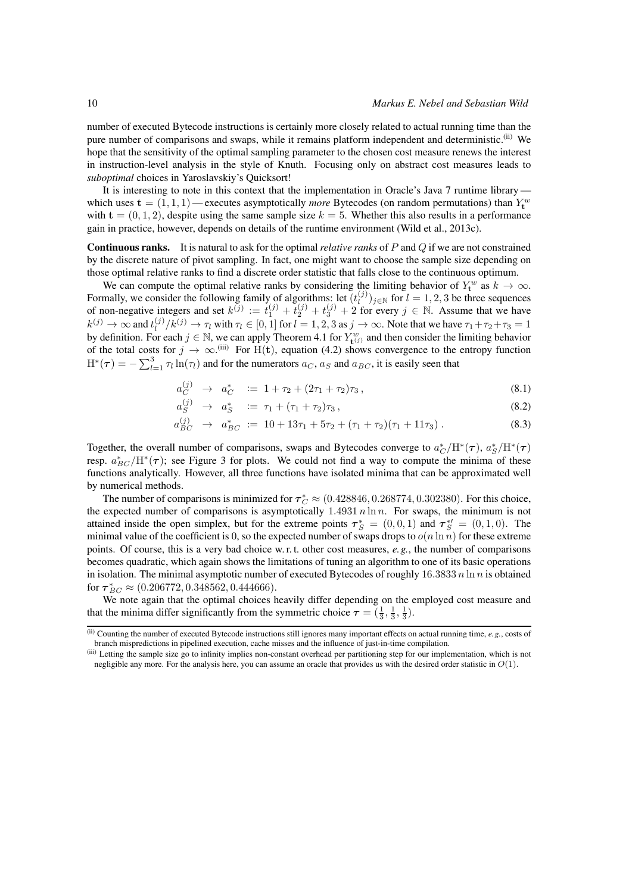number of executed Bytecode instructions is certainly more closely related to actual running time than the pure number of comparisons and swaps, while it remains platform independent and deterministic.[\(ii\)](#page-9-0) We hope that the sensitivity of the optimal sampling parameter to the chosen cost measure renews the interest in instruction-level analysis in the style of Knuth. Focusing only on abstract cost measures leads to *suboptimal* choices in Yaroslavskiy's Quicksort!

It is interesting to note in this context that the implementation in Oracle's Java 7 runtime library which uses  $\mathbf{t} = (1, 1, 1)$  — executes asymptotically *more* Bytecodes (on random permutations) than  $Y_t^w$ with  $t = (0, 1, 2)$ , despite using the same sample size  $k = 5$ . Whether this also results in a performance gain in practice, however, depends on details of the runtime environment [\(Wild et al., 2013c\)](#page-11-7).

Continuous ranks. It is natural to ask for the optimal *relative ranks* of P and Q if we are not constrained by the discrete nature of pivot sampling. In fact, one might want to choose the sample size depending on those optimal relative ranks to find a discrete order statistic that falls close to the continuous optimum.

We can compute the optimal relative ranks by considering the limiting behavior of  $Y_t^w$  as  $k \to \infty$ . Formally, we consider the following family of algorithms: let  $(t_i^{(j)})_{j \in \mathbb{N}}$  for  $l = 1, 2, 3$  be three sequences of non-negative integers and set  $k^{(j)} := t_1^{(j)} + t_2^{(j)} + t_3^{(j)} + 2$  for every  $j \in \mathbb{N}$ . Assume that we have  $k^{(j)} \to \infty$  and  $t^{(j)}_l / k^{(j)} \to \tau_l$  with  $\tau_l \in [0, 1]$  for  $l = 1, 2, 3$  as  $j \to \infty$ . Note that we have  $\tau_1 + \tau_2 + \tau_3 = 1$ by definition. For each  $j \in \mathbb{N}$ , we can apply [Theorem 4.1](#page-3-2) for  $Y_{\mathbf{t}^{(j)}}^w$  and then consider the limiting behavior of the total costs for  $j \to \infty$ .<sup>[\(iii\)](#page-9-1)</sup> For H(t), [equation \(4.2\)](#page-3-1) shows convergence to the entropy function  $H^*(\tau) = -\sum_{l=1}^3 \tau_l \ln(\tau_l)$  and for the numerators  $a_C, a_S$  and  $a_{BC}$ , it is easily seen that

$$
a_C^{(j)} \to a_C^* \quad := \; 1 + \tau_2 + (2\tau_1 + \tau_2)\tau_3 \,, \tag{8.1}
$$

$$
a_S^{(j)} \to a_S^* \quad := \tau_1 + (\tau_1 + \tau_2)\tau_3 \,, \tag{8.2}
$$

$$
a_{BC}^{(j)} \rightarrow a_{BC}^* := 10 + 13\tau_1 + 5\tau_2 + (\tau_1 + \tau_2)(\tau_1 + 11\tau_3) \,. \tag{8.3}
$$

Together, the overall number of comparisons, swaps and Bytecodes converge to  $a_C^*/H^*(\tau)$ ,  $a_S^*/H^*(\tau)$ resp.  $a_{BC}^*/H^*(\tau)$ ; see [Figure 3](#page-10-3) for plots. We could not find a way to compute the minima of these functions analytically. However, all three functions have isolated minima that can be approximated well by numerical methods.

The number of comparisons is minimized for  $\tau_C^* \approx (0.428846, 0.268774, 0.302380)$ . For this choice, the expected number of comparisons is asymptotically  $1.4931 n \ln n$ . For swaps, the minimum is not attained inside the open simplex, but for the extreme points  $\tau_S^* = (0,0,1)$  and  $\tau_S^{*\prime} = (0,1,0)$ . The minimal value of the coefficient is 0, so the expected number of swaps drops to  $o(n \ln n)$  for these extreme points. Of course, this is a very bad choice w. r. t. other cost measures, *e.g.*, the number of comparisons becomes quadratic, which again shows the limitations of tuning an algorithm to one of its basic operations in isolation. The minimal asymptotic number of executed Bytecodes of roughly  $16.3833 n \ln n$  is obtained for  $\boldsymbol{\tau}_{BC}^* \approx (0.206772, 0.348562, 0.444666).$ 

We note again that the optimal choices heavily differ depending on the employed cost measure and that the minima differ significantly from the symmetric choice  $\tau = (\frac{1}{3}, \frac{1}{3}, \frac{1}{3})$ .

<span id="page-9-0"></span> $(iii)$  Counting the number of executed Bytecode instructions still ignores many important effects on actual running time,  $e, g,$  costs of branch mispredictions in pipelined execution, cache misses and the influence of just-in-time compilation.

<span id="page-9-1"></span><sup>(</sup>iii) Letting the sample size go to infinity implies non-constant overhead per partitioning step for our implementation, which is not negligible any more. For the analysis here, you can assume an oracle that provides us with the desired order statistic in  $O(1)$ .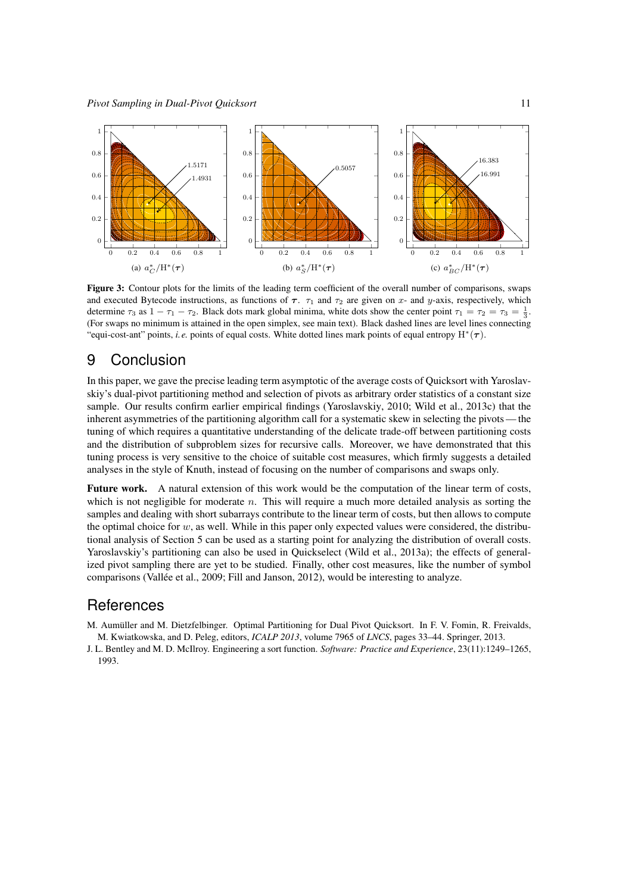

<span id="page-10-3"></span>Figure 3: Contour plots for the limits of the leading term coefficient of the overall number of comparisons, swaps and executed Bytecode instructions, as functions of  $\tau$ .  $\tau_1$  and  $\tau_2$  are given on x- and y-axis, respectively, which determine  $\tau_3$  as  $1 - \tau_1 - \tau_2$ . Black dots mark global minima, white dots show the center point  $\tau_1 = \tau_2 = \tau_3 = \frac{1}{3}$ . (For swaps no minimum is attained in the open simplex, see main text). Black dashed lines are level lines connecting "equi-cost-ant" points, *i.e.* points of equal costs. White dotted lines mark points of equal entropy  $H^*(\tau)$ .

## <span id="page-10-2"></span>9 Conclusion

In this paper, we gave the precise leading term asymptotic of the average costs of Quicksort with Yaroslavskiy's dual-pivot partitioning method and selection of pivots as arbitrary order statistics of a constant size sample. Our results confirm earlier empirical findings [\(Yaroslavskiy, 2010;](#page-11-17) [Wild et al., 2013c\)](#page-11-7) that the inherent asymmetries of the partitioning algorithm call for a systematic skew in selecting the pivots— the tuning of which requires a quantitative understanding of the delicate trade-off between partitioning costs and the distribution of subproblem sizes for recursive calls. Moreover, we have demonstrated that this tuning process is very sensitive to the choice of suitable cost measures, which firmly suggests a detailed analyses in the style of Knuth, instead of focusing on the number of comparisons and swaps only.

Future work. A natural extension of this work would be the computation of the linear term of costs, which is not negligible for moderate  $n$ . This will require a much more detailed analysis as sorting the samples and dealing with short subarrays contribute to the linear term of costs, but then allows to compute the optimal choice for  $w$ , as well. While in this paper only expected values were considered, the distributional analysis of [Section 5](#page-4-0) can be used as a starting point for analyzing the distribution of overall costs. Yaroslavskiy's partitioning can also be used in Quickselect [\(Wild et al., 2013a\)](#page-11-18); the effects of generalized pivot sampling there are yet to be studied. Finally, other cost measures, like the number of symbol comparisons [\(Vallée et al., 2009;](#page-11-19) [Fill and Janson, 2012\)](#page-11-20), would be interesting to analyze.

## **References**

- <span id="page-10-1"></span>M. Aumüller and M. Dietzfelbinger. Optimal Partitioning for Dual Pivot Quicksort. In F. V. Fomin, R. Freivalds, M. Kwiatkowska, and D. Peleg, editors, *ICALP 2013*, volume 7965 of *LNCS*, pages 33–44. Springer, 2013.
- <span id="page-10-0"></span>J. L. Bentley and M. D. McIlroy. Engineering a sort function. *Software: Practice and Experience*, 23(11):1249–1265, 1993.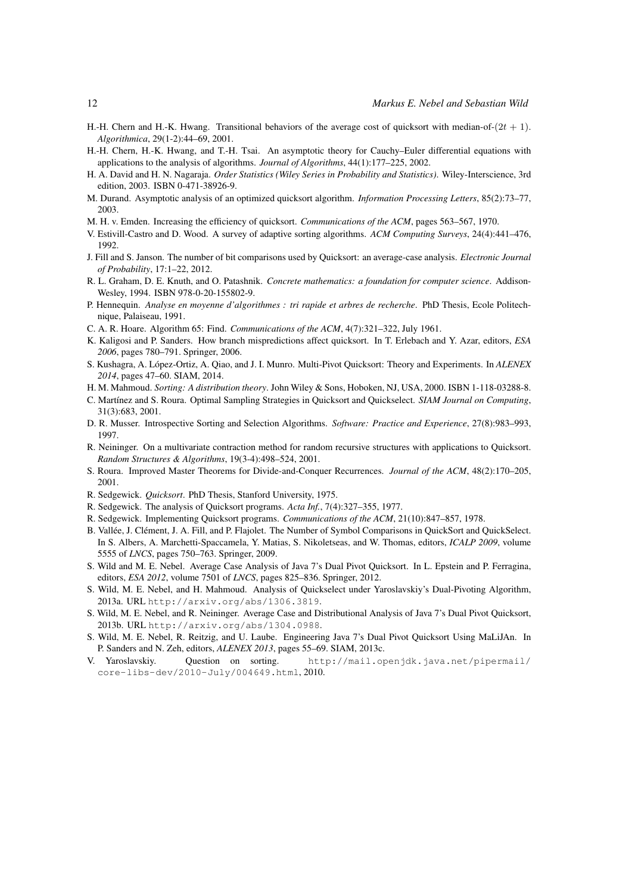- <span id="page-11-11"></span>H.-H. Chern and H.-K. Hwang. Transitional behaviors of the average cost of quicksort with median-of- $(2t + 1)$ . *Algorithmica*, 29(1-2):44–69, 2001.
- <span id="page-11-16"></span>H.-H. Chern, H.-K. Hwang, and T.-H. Tsai. An asymptotic theory for Cauchy–Euler differential equations with applications to the analysis of algorithms. *Journal of Algorithms*, 44(1):177–225, 2002.
- <span id="page-11-25"></span>H. A. David and H. N. Nagaraja. *Order Statistics (Wiley Series in Probability and Statistics)*. Wiley-Interscience, 3rd edition, 2003. ISBN 0-471-38926-9.
- <span id="page-11-12"></span>M. Durand. Asymptotic analysis of an optimized quicksort algorithm. *Information Processing Letters*, 85(2):73–77, 2003.
- <span id="page-11-8"></span>M. H. v. Emden. Increasing the efficiency of quicksort. *Communications of the ACM*, pages 563–567, 1970.
- <span id="page-11-24"></span>V. Estivill-Castro and D. Wood. A survey of adaptive sorting algorithms. *ACM Computing Surveys*, 24(4):441–476, 1992.
- <span id="page-11-20"></span>J. Fill and S. Janson. The number of bit comparisons used by Quicksort: an average-case analysis. *Electronic Journal of Probability*, 17:1–22, 2012.
- <span id="page-11-21"></span>R. L. Graham, D. E. Knuth, and O. Patashnik. *Concrete mathematics: a foundation for computer science*. Addison-Wesley, 1994. ISBN 978-0-20-155802-9.
- <span id="page-11-2"></span>P. Hennequin. *Analyse en moyenne d'algorithmes : tri rapide et arbres de recherche*. PhD Thesis, Ecole Politechnique, Palaiseau, 1991.
- <span id="page-11-22"></span>C. A. R. Hoare. Algorithm 65: Find. *Communications of the ACM*, 4(7):321–322, July 1961.
- <span id="page-11-13"></span>K. Kaligosi and P. Sanders. How branch mispredictions affect quicksort. In T. Erlebach and Y. Azar, editors, *ESA 2006*, pages 780–791. Springer, 2006.
- <span id="page-11-5"></span>S. Kushagra, A. López-Ortiz, A. Qiao, and J. I. Munro. Multi-Pivot Quicksort: Theory and Experiments. In *ALENEX 2014*, pages 47–60. SIAM, 2014.
- <span id="page-11-14"></span>H. M. Mahmoud. *Sorting: A distribution theory*. John Wiley & Sons, Hoboken, NJ, USA, 2000. ISBN 1-118-03288-8.
- <span id="page-11-6"></span>C. Martínez and S. Roura. Optimal Sampling Strategies in Quicksort and Quickselect. *SIAM Journal on Computing*, 31(3):683, 2001.
- <span id="page-11-0"></span>D. R. Musser. Introspective Sorting and Selection Algorithms. *Software: Practice and Experience*, 27(8):983–993, 1997.
- <span id="page-11-10"></span>R. Neininger. On a multivariate contraction method for random recursive structures with applications to Quicksort. *Random Structures & Algorithms*, 19(3-4):498–524, 2001.
- <span id="page-11-15"></span>S. Roura. Improved Master Theorems for Divide-and-Conquer Recurrences. *Journal of the ACM*, 48(2):170–205, 2001.
- <span id="page-11-1"></span>R. Sedgewick. *Quicksort*. PhD Thesis, Stanford University, 1975.
- <span id="page-11-9"></span>R. Sedgewick. The analysis of Quicksort programs. *Acta Inf.*, 7(4):327–355, 1977.
- <span id="page-11-23"></span>R. Sedgewick. Implementing Quicksort programs. *Communications of the ACM*, 21(10):847–857, 1978.
- <span id="page-11-19"></span>B. Vallée, J. Clément, J. A. Fill, and P. Flajolet. The Number of Symbol Comparisons in QuickSort and QuickSelect. In S. Albers, A. Marchetti-Spaccamela, Y. Matias, S. Nikoletseas, and W. Thomas, editors, *ICALP 2009*, volume 5555 of *LNCS*, pages 750–763. Springer, 2009.
- <span id="page-11-3"></span>S. Wild and M. E. Nebel. Average Case Analysis of Java 7's Dual Pivot Quicksort. In L. Epstein and P. Ferragina, editors, *ESA 2012*, volume 7501 of *LNCS*, pages 825–836. Springer, 2012.
- <span id="page-11-18"></span>S. Wild, M. E. Nebel, and H. Mahmoud. Analysis of Quickselect under Yaroslavskiy's Dual-Pivoting Algorithm, 2013a. URL <http://arxiv.org/abs/1306.3819>.
- <span id="page-11-4"></span>S. Wild, M. E. Nebel, and R. Neininger. Average Case and Distributional Analysis of Java 7's Dual Pivot Quicksort, 2013b. URL <http://arxiv.org/abs/1304.0988>.
- <span id="page-11-7"></span>S. Wild, M. E. Nebel, R. Reitzig, and U. Laube. Engineering Java 7's Dual Pivot Quicksort Using MaLiJAn. In P. Sanders and N. Zeh, editors, *ALENEX 2013*, pages 55–69. SIAM, 2013c.
- <span id="page-11-17"></span>V. Yaroslavskiy. Question on sorting. [http://mail.openjdk.java.net/pipermail/](http://mail.openjdk.java.net/pipermail/core-libs-dev/2010-July/004649.html) [core-libs-dev/2010-July/004649.html](http://mail.openjdk.java.net/pipermail/core-libs-dev/2010-July/004649.html), 2010.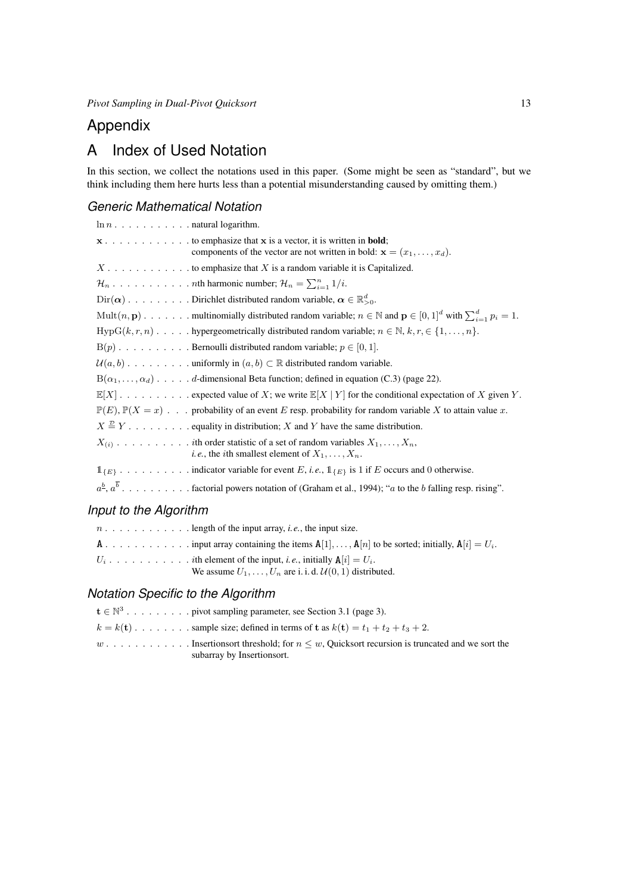*Pivot Sampling in Dual-Pivot Quicksort* 13

## Appendix

## <span id="page-12-0"></span>A Index of Used Notation

In this section, we collect the notations used in this paper. (Some might be seen as "standard", but we think including them here hurts less than a potential misunderstanding caused by omitting them.)

## *Generic Mathematical Notation*

| $x \dots \dots \dots \dots$ to emphasize that x is a vector, it is written in <b>bold</b> ;<br>components of the vector are not written in bold: $\mathbf{x} = (x_1, \dots, x_d)$ . |
|-------------------------------------------------------------------------------------------------------------------------------------------------------------------------------------|
| $X \dots \dots \dots \dots$ to emphasize that X is a random variable it is Capitalized.                                                                                             |
| $\mathcal{H}_n \ldots \ldots \ldots \ldots \ldots$ the harmonic number; $\mathcal{H}_n = \sum_{i=1}^n 1/i$ .                                                                        |
| $\text{Dir}(\boldsymbol{\alpha}) \dots \dots \dots \text{Dirichlet distributed random variable, } \boldsymbol{\alpha} \in \mathbb{R}_{>0}^d.$                                       |
| Mult $(n, \mathbf{p})$ multinomially distributed random variable; $n \in \mathbb{N}$ and $\mathbf{p} \in [0, 1]^d$ with $\sum_{i=1}^d p_i = 1$ .                                    |
| $HypG(k,r,n) \dots$ hypergeometrically distributed random variable; $n \in \mathbb{N}, k, r \in \{1, \dots, n\}$ .                                                                  |
| $B(p)$ Bernoulli distributed random variable; $p \in [0, 1]$ .                                                                                                                      |
|                                                                                                                                                                                     |
| $B(\alpha_1, \ldots, \alpha_d)$ d-dimensional Beta function; defined in equation (C.3) (page 22).                                                                                   |
| $\mathbb{E}[X]$ . expected value of X; we write $\mathbb{E}[X   Y]$ for the conditional expectation of X given Y.                                                                   |
| $\mathbb{P}(E), \mathbb{P}(X = x)$ probability of an event E resp. probability for random variable X to attain value x.                                                             |
| $X \stackrel{\mathcal{D}}{=} Y$ equality in distribution; X and Y have the same distribution.                                                                                       |
| <i>i.e.</i> , the <i>i</i> th smallest element of $X_1, \ldots, X_n$ .                                                                                                              |
|                                                                                                                                                                                     |
| $a^{\underline{b}}, a^{\overline{b}}, \ldots, \ldots,$ factorial powers notation of (Graham et al., 1994); " <i>a</i> to the <i>b</i> falling resp. rising".                        |

## *Input to the Algorithm*

| We assume $U_1, \ldots, U_n$ are i. i. d. $\mathcal{U}(0, 1)$ distributed. |
|----------------------------------------------------------------------------|

## *Notation Specific to the Algorithm*

| $\mathbf{t} \in \mathbb{N}^3$ pivot sampling parameter, see Section 3.1 (page 3).                            |
|--------------------------------------------------------------------------------------------------------------|
| $k = k(\mathbf{t})$ sample size; defined in terms of $\mathbf{t}$ as $k(\mathbf{t}) = t_1 + t_2 + t_3 + 2$ . |
|                                                                                                              |
| subarray by Insertions ort.                                                                                  |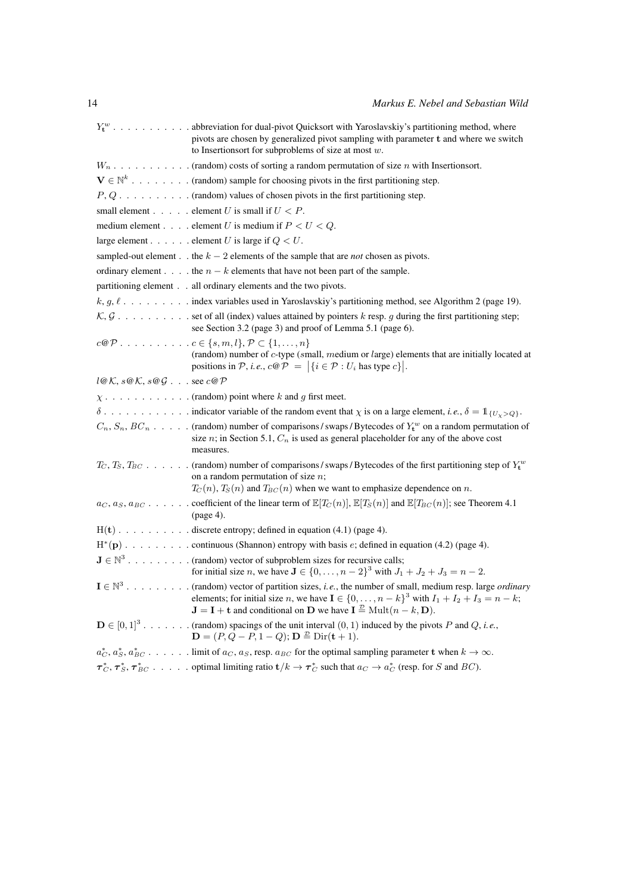|                           | $Y_t^w$ abbreviation for dual-pivot Quicksort with Yaroslavskiy's partitioning method, where<br>pivots are chosen by generalized pivot sampling with parameter t and where we switch<br>to Insertions of simulation of size at most $w$ .                                                                                                   |
|---------------------------|---------------------------------------------------------------------------------------------------------------------------------------------------------------------------------------------------------------------------------------------------------------------------------------------------------------------------------------------|
|                           |                                                                                                                                                                                                                                                                                                                                             |
|                           | $\mathbf{V} \in \mathbb{N}^k$ (random) sample for choosing pivots in the first partitioning step.                                                                                                                                                                                                                                           |
|                           | $P, Q, \ldots, \ldots, \ldots$ (random) values of chosen pivots in the first partitioning step.                                                                                                                                                                                                                                             |
|                           | small element element U is small if $U < P$ .                                                                                                                                                                                                                                                                                               |
|                           | medium element element U is medium if $P < U < Q$ .                                                                                                                                                                                                                                                                                         |
|                           | large element element U is large if $Q < U$ .                                                                                                                                                                                                                                                                                               |
|                           | sampled-out element the $k - 2$ elements of the sample that are <i>not</i> chosen as pivots.                                                                                                                                                                                                                                                |
|                           | ordinary element the $n - k$ elements that have not been part of the sample.                                                                                                                                                                                                                                                                |
|                           | partitioning element all ordinary elements and the two pivots.                                                                                                                                                                                                                                                                              |
|                           | $k, g, \ell, \ldots, \ldots$ index variables used in Yaroslavskiy's partitioning method, see Algorithm 2 (page 19).                                                                                                                                                                                                                         |
|                           | $K, G, \ldots, \ldots,$ set of all (index) values attained by pointers k resp. g during the first partitioning step;<br>see Section 3.2 (page 3) and proof of Lemma 5.1 (page 6).                                                                                                                                                           |
|                           | $c \mathcal{Q} \mathcal{P} \ldots \ldots \ldots \ldots c \in \{s, m, l\}, \mathcal{P} \subset \{1, \ldots, n\}$<br>(random) number of c-type (small, medium or large) elements that are initially located at<br>positions in P, i.e., $c \mathcal{Q} \mathcal{P} =  \{i \in \mathcal{P} : U_i \text{ has type } c\} .$                      |
| $l@K, s@K, s@G$ see $c@P$ |                                                                                                                                                                                                                                                                                                                                             |
|                           |                                                                                                                                                                                                                                                                                                                                             |
|                           |                                                                                                                                                                                                                                                                                                                                             |
|                           | $C_n$ , $S_n$ , $BC_n$ (random) number of comparisons/swaps/Bytecodes of $Y_t^w$ on a random permutation of<br>size $n$ ; in Section 5.1, $C_n$ is used as general placeholder for any of the above cost<br>measures.                                                                                                                       |
|                           | $T_C, T_S, T_{BC}$ (random) number of comparisons/swaps/Bytecodes of the first partitioning step of $Y_t^w$<br>on a random permutation of size $n$ ;<br>$T_C(n)$ , $T_S(n)$ and $T_{BC}(n)$ when we want to emphasize dependence on n.                                                                                                      |
|                           | $ac, a_S, a_{BC}$ coefficient of the linear term of $\mathbb{E}[T_C(n)]$ , $\mathbb{E}[T_S(n)]$ and $\mathbb{E}[T_{BC}(n)]$ ; see Theorem 4.1<br>(page 4).                                                                                                                                                                                  |
|                           | $H(t)$ . discrete entropy; defined in equation (4.1) (page 4).                                                                                                                                                                                                                                                                              |
|                           |                                                                                                                                                                                                                                                                                                                                             |
|                           | $\mathbf{J} \in \mathbb{N}^3$ (random) vector of subproblem sizes for recursive calls;<br>for initial size <i>n</i> , we have $J \in \{0, , n-2\}^3$ with $J_1 + J_2 + J_3 = n - 2$ .                                                                                                                                                       |
|                           | $I \in \mathbb{N}^3$ . (random) vector of partition sizes, <i>i.e.</i> , the number of small, medium resp. large <i>ordinary</i><br>elements; for initial size <i>n</i> , we have $I \in \{0, , n-k\}^3$ with $I_1 + I_2 + I_3 = n - k$ ;<br>$J = I + t$ and conditional on D we have $I \stackrel{\mathcal{D}}{=} \text{Mult}(n - k, D)$ . |
|                           | $\mathbf{D} \in [0,1]^3$ (random) spacings of the unit interval $(0,1)$ induced by the pivots P and Q, i.e.,<br>${\bf D} = (P, Q - P, 1 - Q);$ ${\bf D} \stackrel{\mathcal{D}}{=}$ $\text{Dir}({\bf t} + 1).$                                                                                                                               |
|                           | $a_C^*, a_S^*, a_{BC}^*, \ldots$ limit of $a_C, a_S$ , resp. $a_{BC}$ for the optimal sampling parameter <b>t</b> when $k \to \infty$ .                                                                                                                                                                                                     |
|                           | $\tau_C^*, \tau_S^*, \tau_{BC}^*$ optimal limiting ratio $t/k \to \tau_C^*$ such that $a_C \to a_C^*$ (resp. for S and BC).                                                                                                                                                                                                                 |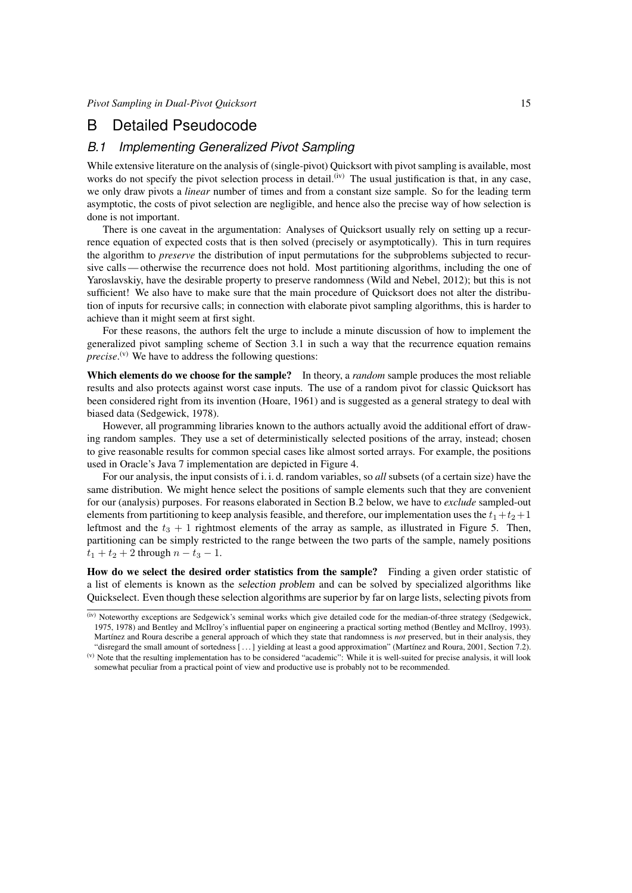## <span id="page-14-0"></span>B Detailed Pseudocode

### *B.1 Implementing Generalized Pivot Sampling*

While extensive literature on the analysis of (single-pivot) Quicksort with pivot sampling is available, most works do not specify the pivot selection process in detail.<sup>[\(iv\)](#page-14-1)</sup> The usual justification is that, in any case, we only draw pivots a *linear* number of times and from a constant size sample. So for the leading term asymptotic, the costs of pivot selection are negligible, and hence also the precise way of how selection is done is not important.

There is one caveat in the argumentation: Analyses of Quicksort usually rely on setting up a recurrence equation of expected costs that is then solved (precisely or asymptotically). This in turn requires the algorithm to *preserve* the distribution of input permutations for the subproblems subjected to recursive calls— otherwise the recurrence does not hold. Most partitioning algorithms, including the one of Yaroslavskiy, have the desirable property to preserve randomness [\(Wild and Nebel, 2012\)](#page-11-3); but this is not sufficient! We also have to make sure that the main procedure of Quicksort does not alter the distribution of inputs for recursive calls; in connection with elaborate pivot sampling algorithms, this is harder to achieve than it might seem at first sight.

For these reasons, the authors felt the urge to include a minute discussion of how to implement the generalized pivot sampling scheme of [Section 3.1](#page-2-2) in such a way that the recurrence equation remains *precise*.<sup>[\(v\)](#page-14-2)</sup> We have to address the following questions:

Which elements do we choose for the sample? In theory, a *random* sample produces the most reliable results and also protects against worst case inputs. The use of a random pivot for classic Quicksort has been considered right from its invention [\(Hoare, 1961\)](#page-11-22) and is suggested as a general strategy to deal with biased data [\(Sedgewick, 1978\)](#page-11-23).

However, all programming libraries known to the authors actually avoid the additional effort of drawing random samples. They use a set of deterministically selected positions of the array, instead; chosen to give reasonable results for common special cases like almost sorted arrays. For example, the positions used in Oracle's Java 7 implementation are depicted in [Figure 4.](#page-15-0)

For our analysis, the input consists of i. i. d. random variables, so *all* subsets (of a certain size) have the same distribution. We might hence select the positions of sample elements such that they are convenient for our (analysis) purposes. For reasons elaborated in [Section B.2](#page-16-0) below, we have to *exclude* sampled-out elements from partitioning to keep analysis feasible, and therefore, our implementation uses the  $t_1+t_2+1$ leftmost and the  $t_3 + 1$  rightmost elements of the array as sample, as illustrated in [Figure 5.](#page-15-1) Then, partitioning can be simply restricted to the range between the two parts of the sample, namely positions  $t_1 + t_2 + 2$  through  $n - t_3 - 1$ .

How do we select the desired order statistics from the sample? Finding a given order statistic of a list of elements is known as the selection problem and can be solved by specialized algorithms like Quickselect. Even though these selection algorithms are superior by far on large lists, selecting pivots from

<span id="page-14-1"></span><sup>(</sup>iv) Noteworthy exceptions are [Sedgewick'](#page-11-9)s seminal works which give detailed code for the median-of-three strategy [\(Sedgewick,](#page-11-1) [1975,](#page-11-1) [1978\)](#page-11-23) and [Bentley and McIlroy'](#page-10-0)s influential paper on engineering a practical sorting method [\(Bentley and McIlroy, 1993\)](#page-10-0). [Martínez and Roura](#page-11-6) describe a general approach of which they state that randomness is *not* preserved, but in their analysis, they "disregard the small amount of sortedness [ . . . ] yielding at least a good approximation" [\(Martínez and Roura, 2001,](#page-11-6) Section 7.2).

<span id="page-14-2"></span><sup>(</sup>v) Note that the resulting implementation has to be considered "academic": While it is well-suited for precise analysis, it will look somewhat peculiar from a practical point of view and productive use is probably not to be recommended.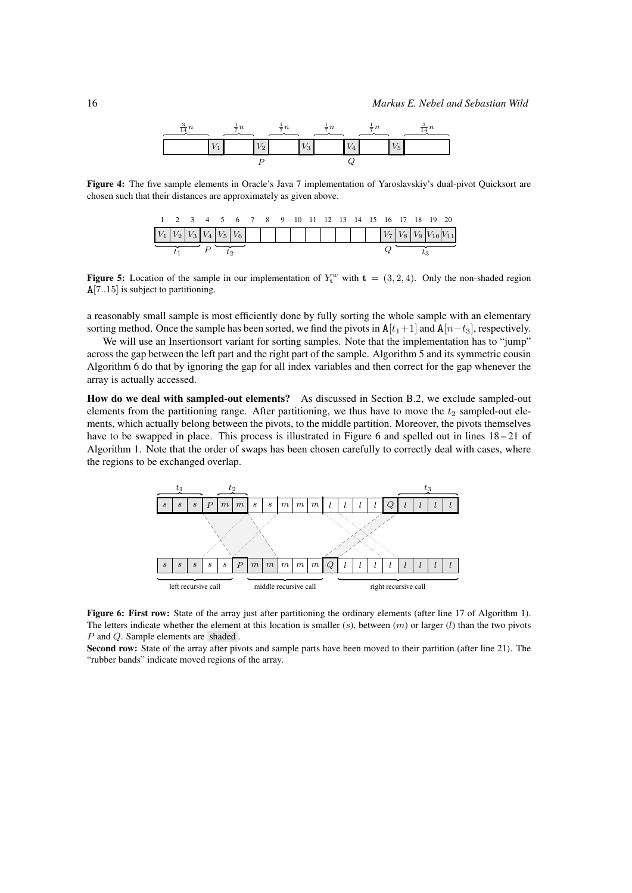<span id="page-15-0"></span>

Figure 4: The five sample elements in Oracle's Java 7 implementation of Yaroslavskiy's dual-pivot Quicksort are chosen such that their distances are approximately as given above.

<span id="page-15-1"></span>

|  |  |  |  |  | 1 2 3 4 5 6 7 8 9 10 11 12 13 14 15 16 17 18 19 20 |  |  |  |  |  |  |  |  |
|--|--|--|--|--|----------------------------------------------------|--|--|--|--|--|--|--|--|
|  |  |  |  |  |                                                    |  |  |  |  |  |  |  |  |
|  |  |  |  |  |                                                    |  |  |  |  |  |  |  |  |

**Figure 5:** Location of the sample in our implementation of  $Y_t^w$  with  $t = (3, 2, 4)$ . Only the non-shaded region A[7..15] is subject to partitioning.

a reasonably small sample is most efficiently done by fully sorting the whole sample with an elementary sorting method. Once the sample has been sorted, we find the pivots in  $A[t_1+1]$  and  $A[n-t_3]$ , respectively.

We will use an Insertionsort variant for sorting samples. Note that the implementation has to "jump" across the gap between the left part and the right part of the sample. [Algorithm 5](#page-20-0) and its symmetric cousin [Algorithm 6](#page-20-1) do that by ignoring the gap for all index variables and then correct for the gap whenever the array is actually accessed.

How do we deal with sampled-out elements? As discussed in [Section B.2,](#page-16-0) we exclude sampled-out elements from the partitioning range. After partitioning, we thus have to move the  $t_2$  sampled-out elements, which actually belong between the pivots, to the middle partition. Moreover, the pivots themselves have to be swapped in place. This process is illustrated in [Figure 6](#page-15-2) and spelled out in lines  $18-21$  of [Algorithm 1.](#page-17-0) Note that the order of swaps has been chosen carefully to correctly deal with cases, where the regions to be exchanged overlap.

<span id="page-15-2"></span>

Figure 6: First row: State of the array just after partitioning the ordinary elements (after line 17 of [Algorithm 1\)](#page-17-0). The letters indicate whether the element at this location is smaller (s), between  $(m)$  or larger (l) than the two pivots P and Q. Sample elements are shaded.

Second row: State of the array after pivots and sample parts have been moved to their partition (after line 21). The "rubber bands" indicate moved regions of the array.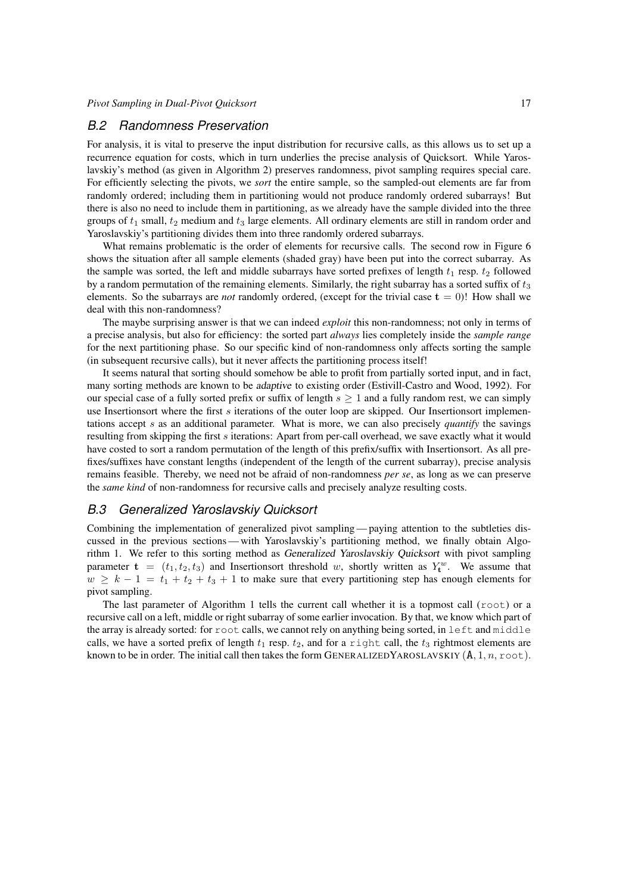#### <span id="page-16-0"></span>*B.2 Randomness Preservation*

For analysis, it is vital to preserve the input distribution for recursive calls, as this allows us to set up a recurrence equation for costs, which in turn underlies the precise analysis of Quicksort. While Yaroslavskiy's method (as given in [Algorithm 2\)](#page-18-0) preserves randomness, pivot sampling requires special care. For efficiently selecting the pivots, we *sort* the entire sample, so the sampled-out elements are far from randomly ordered; including them in partitioning would not produce randomly ordered subarrays! But there is also no need to include them in partitioning, as we already have the sample divided into the three groups of  $t_1$  small,  $t_2$  medium and  $t_3$  large elements. All ordinary elements are still in random order and Yaroslavskiy's partitioning divides them into three randomly ordered subarrays.

What remains problematic is the order of elements for recursive calls. The second row in [Figure 6](#page-15-2) shows the situation after all sample elements (shaded gray) have been put into the correct subarray. As the sample was sorted, the left and middle subarrays have sorted prefixes of length  $t_1$  resp.  $t_2$  followed by a random permutation of the remaining elements. Similarly, the right subarray has a sorted suffix of  $t_3$ elements. So the subarrays are *not* randomly ordered, (except for the trivial case  $\mathbf{t} = 0$ )! How shall we deal with this non-randomness?

The maybe surprising answer is that we can indeed *exploit* this non-randomness; not only in terms of a precise analysis, but also for efficiency: the sorted part *always* lies completely inside the *sample range* for the next partitioning phase. So our specific kind of non-randomness only affects sorting the sample (in subsequent recursive calls), but it never affects the partitioning process itself!

It seems natural that sorting should somehow be able to profit from partially sorted input, and in fact, many sorting methods are known to be adaptive to existing order [\(Estivill-Castro and Wood, 1992\)](#page-11-24). For our special case of a fully sorted prefix or suffix of length  $s > 1$  and a fully random rest, we can simply use Insertionsort where the first s iterations of the outer loop are skipped. Our Insertionsort implementations accept s as an additional parameter. What is more, we can also precisely *quantify* the savings resulting from skipping the first s iterations: Apart from per-call overhead, we save exactly what it would have costed to sort a random permutation of the length of this prefix/suffix with Insertionsort. As all prefixes/suffixes have constant lengths (independent of the length of the current subarray), precise analysis remains feasible. Thereby, we need not be afraid of non-randomness *per se*, as long as we can preserve the *same kind* of non-randomness for recursive calls and precisely analyze resulting costs.

### *B.3 Generalized Yaroslavskiy Quicksort*

Combining the implementation of generalized pivot sampling— paying attention to the subtleties discussed in the previous sections— with Yaroslavskiy's partitioning method, we finally obtain [Algo](#page-17-0)[rithm 1.](#page-17-0) We refer to this sorting method as Generalized Yaroslavskiy Quicksort with pivot sampling parameter  $\mathbf{t} = (t_1, t_2, t_3)$  and Insertionsort threshold w, shortly written as  $Y_t^w$ . We assume that  $w \geq k - 1 = t_1 + t_2 + t_3 + 1$  to make sure that every partitioning step has enough elements for pivot sampling.

The last parameter of [Algorithm 1](#page-17-0) tells the current call whether it is a topmost call  $(root)$  or a recursive call on a left, middle or right subarray of some earlier invocation. By that, we know which part of the array is already sorted: for root calls, we cannot rely on anything being sorted, in left and middle calls, we have a sorted prefix of length  $t_1$  resp.  $t_2$ , and for a right call, the  $t_3$  rightmost elements are known to be in order. The initial call then takes the form GENERALIZEDYAROSLAVSKIY  $(A, 1, n, \text{root})$ .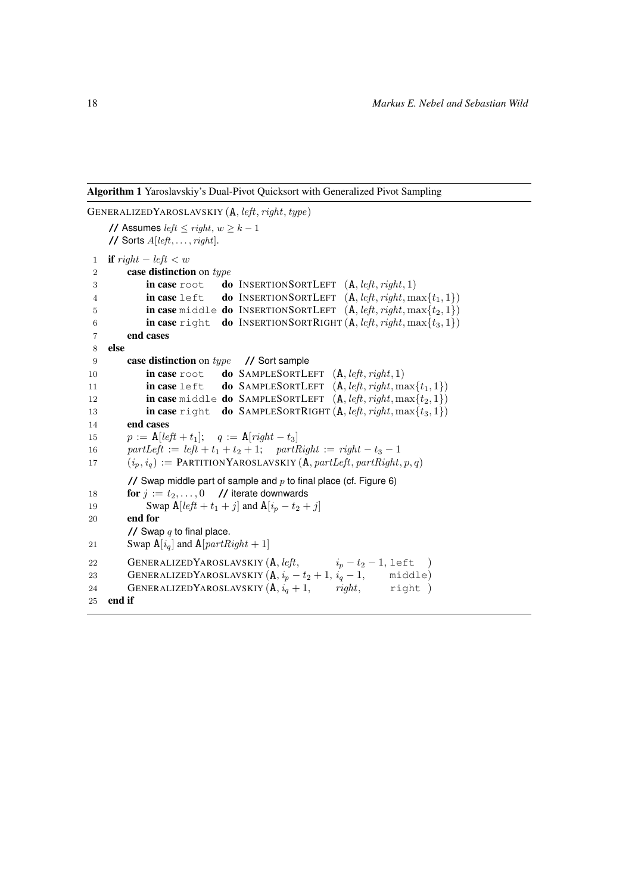Algorithm 1 Yaroslavskiy's Dual-Pivot Quicksort with Generalized Pivot Sampling

```
GENERALIZEDYAROSLAVSKIY (A, left, right, type)
    // Assumes left \leq right, w \geq k - 1// Sorts A[left, \ldots, right].1 if right - left < w2 case distinction on type
 3 in case root do INSERTIONSORTLEFT (A, left, right, 1)<br>4 in case left do INSERTIONSORTLEFT (A, left, right, m)4 in case left do INSERTIONSORTLEFT (A, left, right, max\{t_1, 1\})5 in case middle do INSERTIONSORTLEFT (A, left, right, max\{t_2, 1\})6 in case right do INSERTIONSORTRIGHT (A, left, right, max\{t_3, 1\})7 end cases
 8 else
 9 case distinction on type // Sort sample
10 in case root do SAMPLESORTLEFT (A, left, right, 1)11 in case left do SAMPLESORTLEFT (A, left, right, max\{t_1, 1\})12 in case middle do SAMPLESORTLEFT (A, left, right, max\{t_2, 1\})13 in case right do SAMPLESORTRIGHT (A, left, right, max\{t_3, 1\})14 end cases
15 p := \mathbf{A}[left + t_1]; \quad q := \mathbf{A}[right - t_3]16 partLeft := left + t_1 + t_2 + 1; partRight := right - t_3 - 117 (i_p, i_q) := \text{PARTITION YAROSLAVSKIY (A, partLeft, partRight, p, q)}// Swap middle part of sample and p Figure 6)
18 for j := t_2, \ldots, 0 // iterate downwards
19 Swap A[\text{left} + t_1 + j] and A[i_p - t_2 + j]20 end for
        \frac{1}{2} Swap q to final place.
21 Swap A[i_q] and A[partRight + 1]22 GENERALIZEDYAROSLAVSKIY (A, left, \t i_p - t_2 - 1, \text{ left})23 GENERALIZEDYAROSLAVSKIY (A, i_p - t_2 + 1, i_q - 1, \text{ middle})<br>24 GENERALIZEDYAROSLAVSKIY (A, i_q + 1, \text{ right}, \text{right})24 GENERALIZEDYAROSLAVSKIY (A, i_q + 1,25 end if
```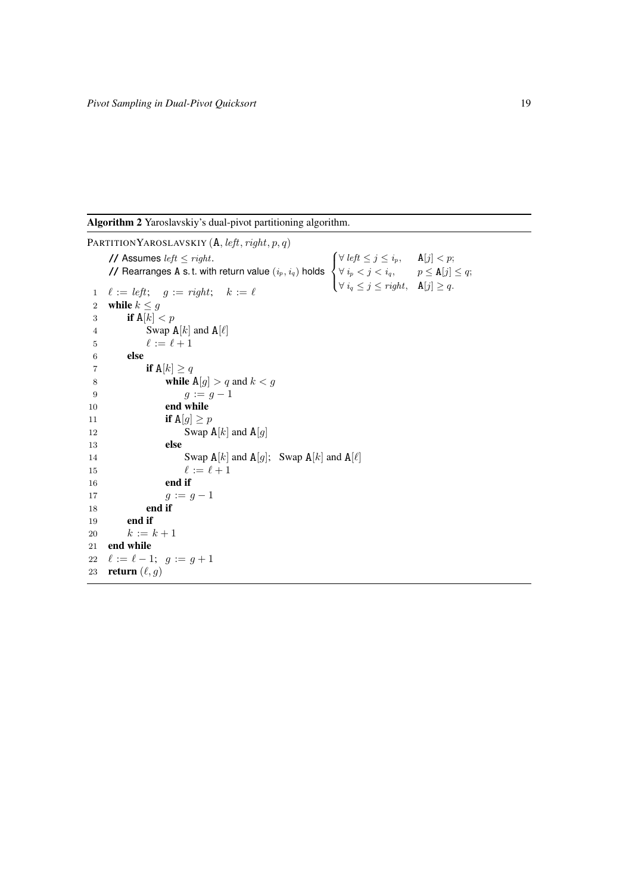Algorithm 2 Yaroslavskiy's dual-pivot partitioning algorithm.

<span id="page-18-0"></span>PARTITIONYAROSLAVSKIY  $(A, left, right, p, q)$ **//** Assumes  $left < right; right.$ **//** Rearranges  $\overline{A}$  s.t. with return value  $(i_p, i_q)$  holds  $\sqrt{ }$  $\int$  $\mathcal{L}$  $\forall \; left \leq j \leq i_p, \quad \mathbf{A}[j] < p;$  $\forall i_p < j < i_q, \qquad p \leq \mathbf{A}[j] \leq q;$  $\forall i_q \leq j \leq right, \quad \mathbf{A}[j] \geq q.$  $1 \quad \ell := left; \quad g := right; \quad k := \ell$ 2 while  $k \leq g$ 3 if  $A[k] < p$ 4 Swap  $A[k]$  and  $A[\ell]$ 5  $\ell := \ell + 1$ 6 else 7 if  $A[k] \ge q$ 8 **while**  $A[g] > q$  and  $k < g$ 9  $g := g - 1$ 10 end while 11 if  $A[g] \geq p$ 12 Swap  $A[k]$  and  $A[g]$ 13 else 14 Swap  $A[k]$  and  $A[g]$ ; Swap  $A[k]$  and  $A[\ell]$ <br>15  $\ell := \ell + 1$  $\ell := \ell + 1$ 16 end if 17  $g := g - 1$ 18 end if 19 end if 20  $k := k + 1$ 21 end while 22  $\ell := \ell - 1; g := g + 1$ 23 return  $(\ell, g)$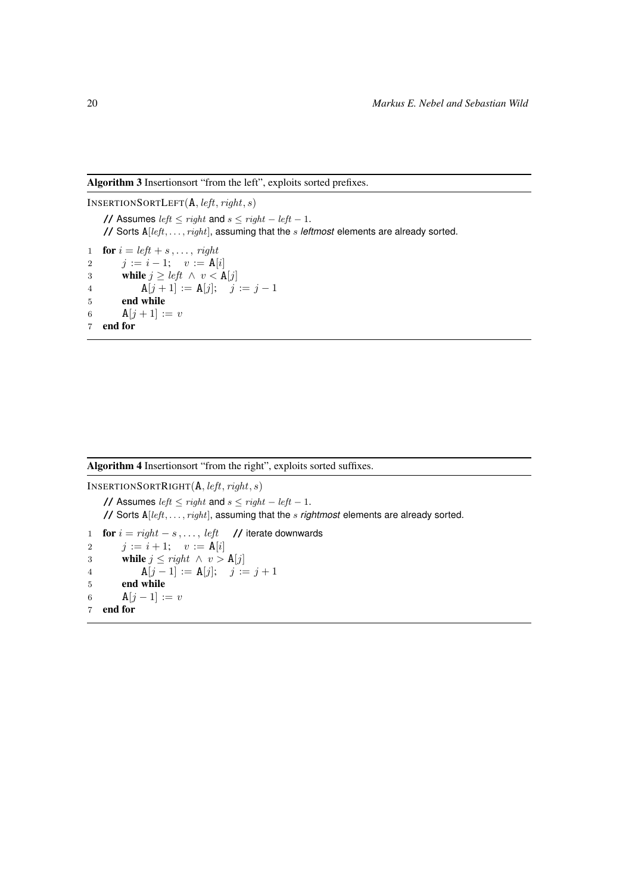Algorithm 3 Insertionsort "from the left", exploits sorted prefixes.

INSERTIONSORTLEFT $(A, left, right, s)$ **//** Assumes left  $\leq$  right and  $s \leq$  right  $-$  left  $-1$ . **//** Sorts A[left, . . . , right], assuming that the s *leftmost* elements are already sorted. 1 **for**  $i = left + s, \ldots, right$ 2  $j := i - 1; v := A[i]$ 3 while  $j \geq left \land v < A[j]$ 4  $A[j+1] := A[j]; \quad j := j-1$ 5 end while 6 **A**[ $j + 1$ ] := v 7 end for

Algorithm 4 Insertionsort "from the right", exploits sorted suffixes.

INSERTIONSORTRIGHT(A, left, right, s) **//** Assumes left  $\leq$  right and  $s \leq$  right  $-$  left  $-1$ . **//** Sorts A[left, . . . , right], assuming that the s *rightmost* elements are already sorted. 1 for  $i = right - s, \ldots, left$  // iterate downwards 2  $j := i + 1; v := A[i]$ 3 while  $j \leq right \land v > \mathbf{A}[j]$ 4  $A[j-1] := A[j]; \quad j := j+1$ 5 end while 6  $A[j - 1] := v$ 7 end for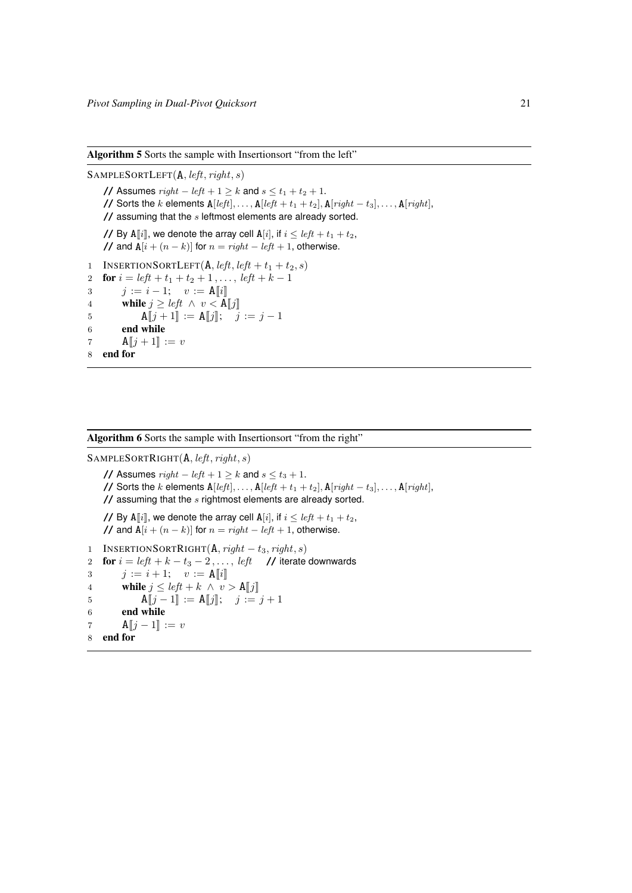Algorithm 5 Sorts the sample with Insertionsort "from the left"

 $S$ AMPLESORTLEFT $(A, left, right, s)$ **//** Assumes  $right - left + 1 \ge k$  and  $s \le t_1 + t_2 + 1$ . **//** Sorts the k elements  $A[left], \ldots, A[left] + t_1 + t_2], A[right] - t_3], \ldots, A[right]$ , **//** assuming that the s leftmost elements are already sorted. // By A[i], we denote the array cell A[i], if  $i \leq left + t_1 + t_2$ , **//** and  $A[i + (n - k)]$  for  $n = right - left + 1$ , otherwise. 1 INSERTIONSORTLEFT(A, left, left +  $t_1 + t_2$ , s) 2 **for**  $i = left + t_1 + t_2 + 1, \ldots, left + k - 1$ 3  $j := i - 1; v := \mathbf{A}[[i]]$ <br>4 **while**  $j > left \wedge v < \mathbf{A}$ 4 while  $j \geq left \land v < \mathbf{A}[[j]]$ <br>5  $\mathbf{A}[[j+1]] := \mathbf{A}[[j]]$ 5  $A[j + 1] := A[j]; \quad j := j - 1$ <br>6 **end while** end while 7 **A** $[j + 1] := v$ 8 end for

#### <span id="page-20-0"></span>Algorithm 6 Sorts the sample with Insertionsort "from the right"

<span id="page-20-1"></span> $S$ AMPLESORTRIGHT $(A, left, right, s)$ **//** Assumes  $right - left + 1 ≥ k$  and  $s ≤ t_3 + 1$ . **//** Sorts the k elements  $A[left], \ldots, A[left] + t_1 + t_2], A[right] - t_3], \ldots, A[right]$ , **//** assuming that the s rightmost elements are already sorted. **//** By A[i], we denote the array cell A[i], if  $i < left + t_1 + t_2$ , **//** and  $A[i + (n - k)]$  for  $n = right - left + 1$ , otherwise. 1 INSERTIONSORTRIGHT $(A, right - t_3, right, s)$ 2 for  $i = left + k - t_3 - 2, \ldots, left$  // iterate downwards 3  $j := i + 1; v := \mathbf{A}[[i]]$ <br>4 while  $j \leq left + k \wedge v$ 4 while  $j \leq left + k \wedge v > \mathbf{A}[[j]]$ <br>5  $\mathbf{A}[[i-1]] := \mathbf{A}[[i]]$ :  $i :=$ 5  $A[j-1] := A[j]; \quad j := j + 1$ <br>6 **end while** end while 7  $A[j-1] := v$ 8 end for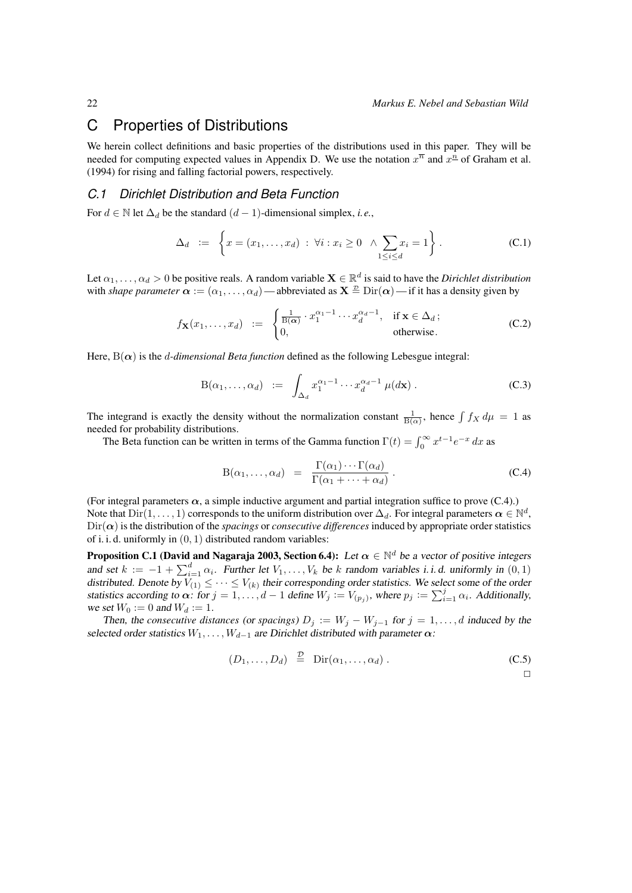## C Properties of Distributions

We herein collect definitions and basic properties of the distributions used in this paper. They will be needed for computing expected values in [Appendix D.](#page-24-0) We use the notation  $x^{\overline{n}}$  and  $x^{\overline{n}}$  of [Graham et al.](#page-11-21) [\(1994\)](#page-11-21) for rising and falling factorial powers, respectively.

### *C.1 Dirichlet Distribution and Beta Function*

For  $d \in \mathbb{N}$  let  $\Delta_d$  be the standard  $(d-1)$ -dimensional simplex, *i.e.*,

$$
\Delta_d := \left\{ x = (x_1, \dots, x_d) : \forall i : x_i \ge 0 \quad \land \sum_{1 \le i \le d} x_i = 1 \right\}.
$$
 (C.1)

Let  $\alpha_1, \ldots, \alpha_d > 0$  be positive reals. A random variable  $\mathbf{X} \in \mathbb{R}^d$  is said to have the *Dirichlet distribution* with *shape parameter*  $\alpha := (\alpha_1, \dots, \alpha_d)$  — abbreviated as  $X \stackrel{\mathcal{D}}{=} \text{Dir}(\alpha)$  — if it has a density given by

$$
f_{\mathbf{X}}(x_1,\ldots,x_d) := \begin{cases} \frac{1}{B(\alpha)} \cdot x_1^{\alpha_1-1} \cdots x_d^{\alpha_d-1}, & \text{if } \mathbf{x} \in \Delta_d; \\ 0, & \text{otherwise.} \end{cases}
$$
(C.2)

Here,  $B(\alpha)$  is the *d-dimensional Beta function* defined as the following Lebesgue integral:

$$
B(\alpha_1, \dots, \alpha_d) := \int_{\Delta_d} x_1^{\alpha_1 - 1} \cdots x_d^{\alpha_d - 1} \mu(d\mathbf{x}). \tag{C.3}
$$

The integrand is exactly the density without the normalization constant  $\frac{1}{B(\alpha)}$ , hence  $\int f_X d\mu = 1$  as needed for probability distributions.

The Beta function can be written in terms of the Gamma function  $\Gamma(t) = \int_0^\infty x^{t-1} e^{-x} dx$  as

<span id="page-21-0"></span>
$$
B(\alpha_1, ..., \alpha_d) = \frac{\Gamma(\alpha_1) \cdots \Gamma(\alpha_d)}{\Gamma(\alpha_1 + \cdots + \alpha_d)}.
$$
 (C.4)

(For integral parameters  $\alpha$ , a simple inductive argument and partial integration suffice to prove [\(C.4\)](#page-21-2).) Note that  $Dir(1,\ldots,1)$  corresponds to the uniform distribution over  $\Delta_d$ . For integral parameters  $\boldsymbol{\alpha} \in \mathbb{N}^d$ ,  $Dir(\alpha)$  is the distribution of the *spacings* or *consecutive differences* induced by appropriate order statistics of i. i. d. uniformly in (0, 1) distributed random variables:

**Proposition C.1 [\(David and Nagaraja 2003,](#page-11-25) Section 6.4):** Let  $\alpha \in \mathbb{N}^d$  be a vector of positive integers and set  $k := -1 + \sum_{i=1}^{d} \alpha_i$ . Further let  $V_1, \ldots, V_k$  be k random variables i.i.d. uniformly in  $(0, 1)$ distributed. Denote by  $V_{(1)} \leq \cdots \leq V_{(k)}$  their corresponding order statistics. We select some of the order statistics according to  $\alpha$ : for  $j = 1, ..., d - 1$  define  $W_j := V_{(p_j)}$ , where  $p_j := \sum_{i=1}^j \alpha_i$ . Additionally, we set  $W_0 := 0$  and  $W_d := 1$ .

Then, the *consecutive distances* (or *spacings*)  $D_j := W_j - W_{j-1}$  for  $j = 1, ..., d$  induced by the selected order statistics  $W_1, \ldots, W_{d-1}$  are Dirichlet distributed with parameter  $\alpha$ :

$$
(D_1, \ldots, D_d) \stackrel{\mathcal{D}}{=} \text{Dir}(\alpha_1, \ldots, \alpha_d). \tag{C.5}
$$

<span id="page-21-2"></span><span id="page-21-1"></span>
$$
\Box
$$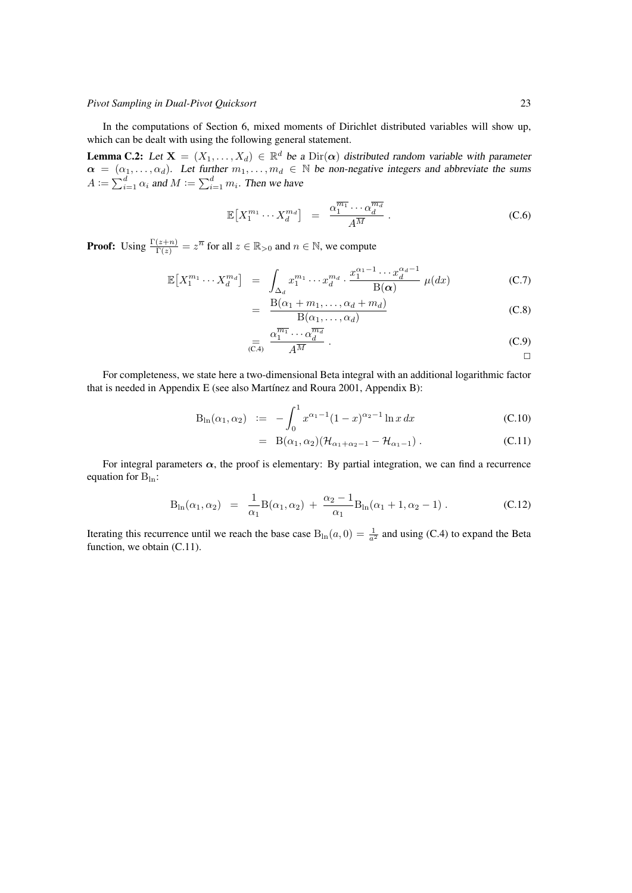In the computations of [Section 6,](#page-7-0) mixed moments of Dirichlet distributed variables will show up, which can be dealt with using the following general statement.

**Lemma C.2:** Let  $X = (X_1, ..., X_d) \in \mathbb{R}^d$  be a  $Dir(\alpha)$  distributed random variable with parameter  $\alpha = (\alpha_1, \ldots, \alpha_d)$ . Let further  $m_1, \ldots, m_d \in \mathbb{N}$  be non-negative integers and abbreviate the sums  $A := \sum_{i=1}^d \alpha_i$  and  $M := \sum_{i=1}^d m_i$ . Then we have

<span id="page-22-1"></span>
$$
\mathbb{E}\left[X_1^{m_1}\cdots X_d^{m_d}\right] = \frac{\alpha_1^{\overline{m_1}}\cdots \alpha_d^{\overline{m_d}}}{A^{\overline{M}}}.
$$
 (C.6)

**Proof:** Using  $\frac{\Gamma(z+n)}{\Gamma(z)} = z^{\overline{n}}$  for all  $z \in \mathbb{R}_{>0}$  and  $n \in \mathbb{N}$ , we compute

=

$$
\mathbb{E}\left[X_1^{m_1}\cdots X_d^{m_d}\right] = \int_{\Delta_d} x_1^{m_1}\cdots x_d^{m_d} \cdot \frac{x_1^{\alpha_1-1}\cdots x_d^{\alpha_d-1}}{B(\alpha)}\,\mu(dx) \tag{C.7}
$$

$$
= \frac{B(\alpha_1 + m_1, \dots, \alpha_d + m_d)}{B(\alpha_1, \dots, \alpha_d)} \tag{C.8}
$$

$$
\underset{\text{(C.4)}}{=} \frac{\alpha_1^{\overline{m_1}} \cdots \alpha_d^{\overline{m_d}}}{A^{\overline{M}}} \,. \tag{C.9}
$$

For completeness, we state here a two-dimensional Beta integral with an additional logarithmic factor that is needed in [Appendix E](#page-25-0) (see also [Martínez and Roura 2001,](#page-11-6) Appendix B):

$$
B_{\ln}(\alpha_1, \alpha_2) \quad := \quad -\int_0^1 x^{\alpha_1 - 1} (1 - x)^{\alpha_2 - 1} \ln x \, dx \tag{C.10}
$$

<span id="page-22-0"></span>
$$
= B(\alpha_1, \alpha_2)(\mathcal{H}_{\alpha_1+\alpha_2-1}-\mathcal{H}_{\alpha_1-1}). \qquad (C.11)
$$

For integral parameters  $\alpha$ , the proof is elementary: By partial integration, we can find a recurrence equation for  $B_{ln}$ :

$$
B_{\ln}(\alpha_1, \alpha_2) = \frac{1}{\alpha_1} B(\alpha_1, \alpha_2) + \frac{\alpha_2 - 1}{\alpha_1} B_{\ln}(\alpha_1 + 1, \alpha_2 - 1).
$$
 (C.12)

Iterating this recurrence until we reach the base case  $B_{\ln}(a, 0) = \frac{1}{a^2}$  and using [\(C.4\)](#page-21-2) to expand the Beta function, we obtain [\(C.11\)](#page-22-0).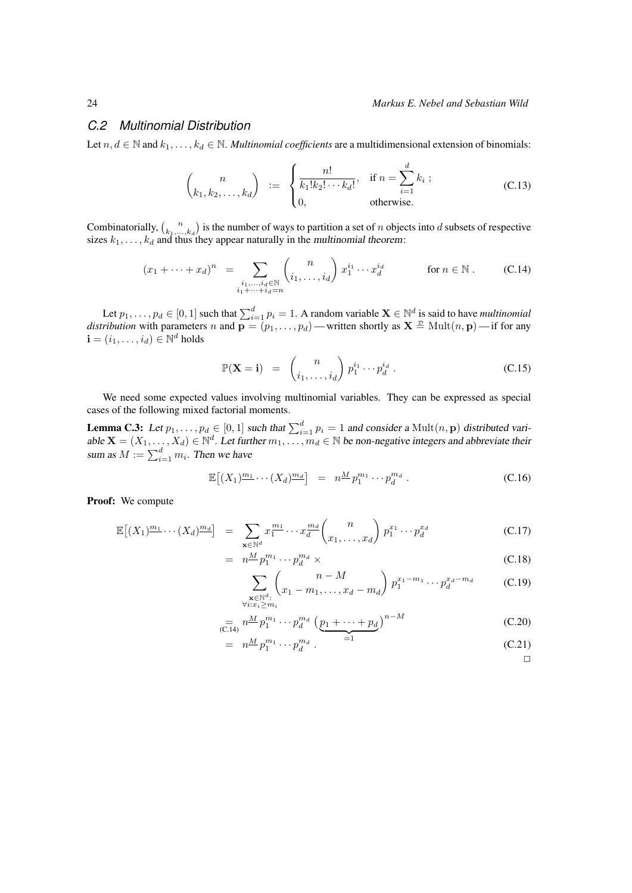#### *C.2 Multinomial Distribution*

Let  $n, d \in \mathbb{N}$  and  $k_1, \ldots, k_d \in \mathbb{N}$ . *Multinomial coefficients* are a multidimensional extension of binomials:

$$
\binom{n}{k_1, k_2, \dots, k_d} := \begin{cases} \frac{n!}{k_1! k_2! \cdots k_d!}, & \text{if } n = \sum_{i=1}^d k_i ; \\ 0, & \text{otherwise.} \end{cases}
$$
 (C.13)

Combinatorially,  $\binom{n}{k_1,\dots,k_d}$  is the number of ways to partition a set of n objects into d subsets of respective sizes  $k_1, \ldots, k_d$  and thus they appear naturally in the *multinomial theorem*:

$$
(x_1 + \dots + x_d)^n = \sum_{\substack{i_1, \dots, i_d \in \mathbb{N} \\ i_1 + \dots + i_d = n}} \binom{n}{i_1, \dots, i_d} x_1^{i_1} \dots x_d^{i_d} \qquad \text{for } n \in \mathbb{N}. \tag{C.14}
$$

Let  $p_1, \ldots, p_d \in [0, 1]$  such that  $\sum_{i=1}^d p_i = 1$ . A random variable  $\mathbf{X} \in \mathbb{N}^d$  is said to have *multinomial distribution* with parameters n and  $\mathbf{p} = (p_1, \ldots, p_d)$ —written shortly as  $\mathbf{X} \triangleq \text{Mult}(n, \mathbf{p})$ —if for any  $\mathbf{i} = (i_1, \dots, i_d) \in \mathbb{N}^d$  holds

<span id="page-23-0"></span>
$$
\mathbb{P}(\mathbf{X} = \mathbf{i}) = {n \choose i_1, \dots, i_d} p_1^{i_1} \cdots p_d^{i_d} .
$$
 (C.15)

We need some expected values involving multinomial variables. They can be expressed as special cases of the following mixed factorial moments.

<span id="page-23-1"></span>**Lemma C.3:** Let  $p_1, \ldots, p_d \in [0, 1]$  such that  $\sum_{i=1}^d p_i = 1$  and consider a  $\text{Mult}(n, \mathbf{p})$  distributed variable  $X = (X_1, \ldots, X_d) \in \mathbb{N}^d$ . Let further  $m_1, \ldots, m_d \in \mathbb{N}$  be non-negative integers and abbreviate their sum as  $M := \sum_{i=1}^{d} m_i$ . Then we have

$$
\mathbb{E}\left[\left(X_1\right)^{\underline{m_1}}\cdots\left(X_d\right)^{\underline{m_d}}\right] = n^{\underline{M}} p_1^{m_1} \cdots p_d^{m_d} . \tag{C.16}
$$

Proof: We compute

$$
\mathbb{E}\left[(X_1)^{\underline{m_1}}\cdots(X_d)^{\underline{m_d}}\right] = \sum_{\mathbf{x}\in\mathbb{N}^d} x_1^{\underline{m_1}}\cdots x_d^{\underline{m_d}} \binom{n}{x_1,\ldots,x_d} p_1^{x_1}\cdots p_d^{x_d} \tag{C.17}
$$

$$
= n^{\underline{M}} p_1^{m_1} \cdots p_d^{m_d} \times \tag{C.18}
$$

$$
\sum_{\substack{\mathbf{x} \in \mathbb{N}^d:\\ \forall i: x_i \ge m_i}} \binom{n-M}{x_1 - m_1, \dots, x_d - m_d} p_1^{x_1 - m_1} \dots p_d^{x_d - m_d} \tag{C.19}
$$

$$
\sum_{\text{(C.14)}} n^{\underline{M}} p_1^{m_1} \cdots p_d^{m_d} \left( \underline{p_1 + \cdots + p_d} \right)^{n-M} \tag{C.20}
$$

$$
= n^{\underline{M}} p_1^{m_1} \cdots p_d^{m_d} \,. \qquad \qquad = 1 \tag{C.21}
$$

 $\Box$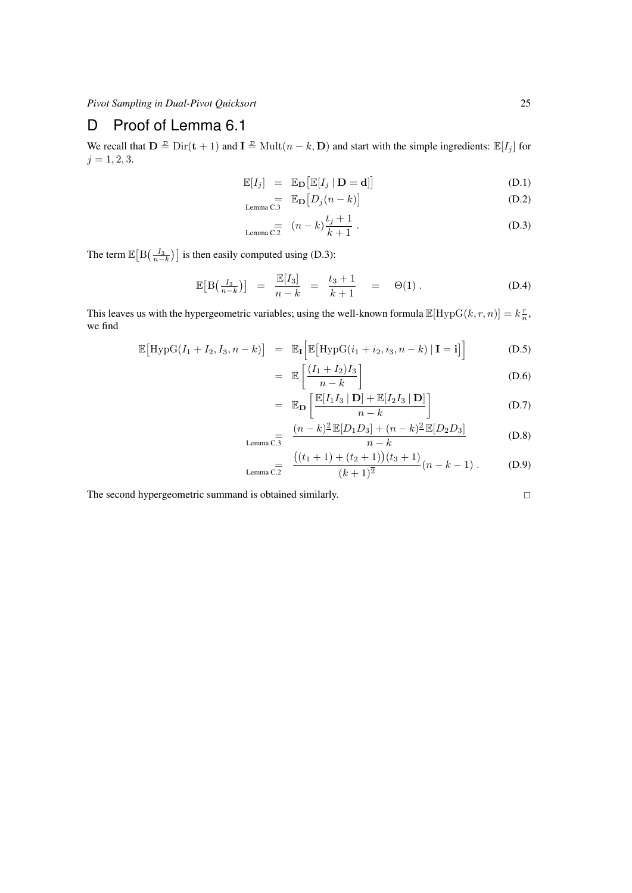## <span id="page-24-0"></span>D Proof of [Lemma 6.1](#page-7-3)

We recall that  $\mathbf{D} \stackrel{\mathcal{D}}{=} \text{Dir}(\mathbf{t} + 1)$  and  $\mathbf{I} \stackrel{\mathcal{D}}{=} \text{Mult}(n - k, \mathbf{D})$  and start with the simple ingredients:  $\mathbb{E}[I_j]$  for  $j = 1, 2, 3.$ 

$$
\mathbb{E}[I_j] = \mathbb{E}_{\mathbf{D}}[\mathbb{E}[I_j \mid \mathbf{D} = \mathbf{d}]] \tag{D.1}
$$

$$
\underset{\text{Lemma C.3}}{=}\quad \mathbb{E}_{\mathbf{D}}\left[D_j(n-k)\right]
$$
 (D.2)

<span id="page-24-1"></span>
$$
L_{\text{Lemma C.2}} = (n-k)\frac{t_j+1}{k+1} \,. \tag{D.3}
$$

The term  $\mathbb{E}\left[\mathrm{B}\left(\frac{I_3}{n-k}\right)\right]$  is then easily computed using [\(D.3\)](#page-24-1):

$$
\mathbb{E}[B\left(\frac{I_3}{n-k}\right)] = \frac{\mathbb{E}[I_3]}{n-k} = \frac{t_3+1}{k+1} = \Theta(1).
$$
 (D.4)

This leaves us with the hypergeometric variables; using the well-known formula  $\mathbb{E}[\text{HypG}(k,r,n)] = k\frac{r}{n}$ , we find

$$
\mathbb{E}\big[\text{HypG}(I_1 + I_2, I_3, n - k)\big] = \mathbb{E}_{\mathbf{I}}\big[\mathbb{E}\big[\text{HypG}(i_1 + i_2, i_3, n - k) | \mathbf{I} = \mathbf{i}\big]\big] \tag{D.5}
$$

$$
= \mathbb{E}\left[\frac{(I_1 + I_2)I_3}{n - k}\right] \tag{D.6}
$$

$$
= \mathbb{E}_{\mathbf{D}}\left[\frac{\mathbb{E}[I_1I_3 \mid \mathbf{D}] + \mathbb{E}[I_2I_3 \mid \mathbf{D}]}{n-k}\right]
$$
 (D.7)

$$
L_{\text{Lemma C.3}} = \frac{(n-k)^2 \mathbb{E}[D_1 D_3] + (n-k)^2 \mathbb{E}[D_2 D_3]}{n-k}
$$
(D.8)

$$
\lim_{L \text{ emma C.2}} \frac{\left( (t_1 + 1) + (t_2 + 1) \right) (t_3 + 1)}{(k+1)^2} (n - k - 1) \,. \tag{D.9}
$$

The second hypergeometric summand is obtained similarly.

$$
\Box
$$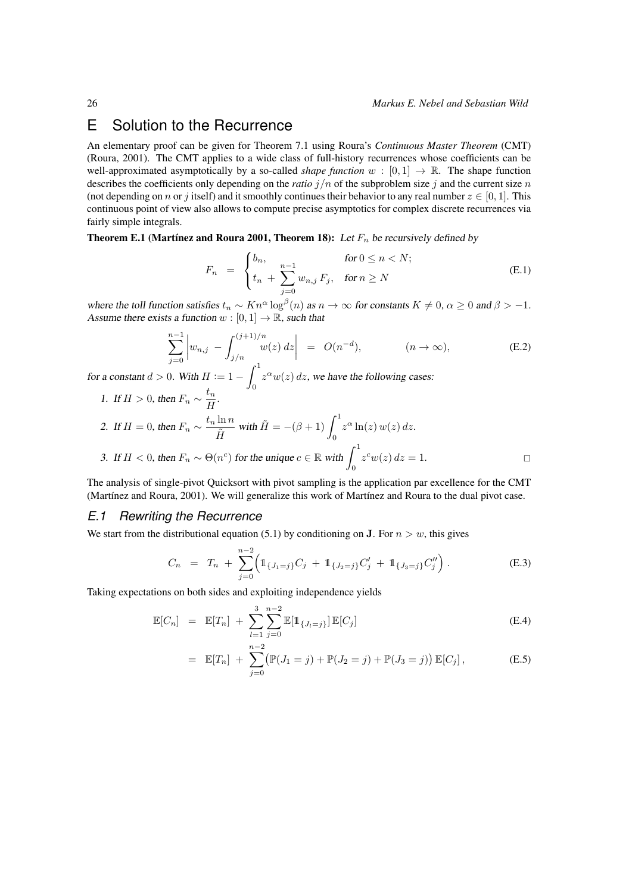## <span id="page-25-0"></span>E Solution to the Recurrence

An elementary proof can be given for [Theorem 7.1](#page-7-2) using [Roura'](#page-11-15)s *Continuous Master Theorem* (CMT) [\(Roura, 2001\)](#page-11-15). The CMT applies to a wide class of full-history recurrences whose coefficients can be well-approximated asymptotically by a so-called *shape function*  $w : [0, 1] \rightarrow \mathbb{R}$ . The shape function describes the coefficients only depending on the *ratio*  $j/n$  of the subproblem size j and the current size n (not depending on n or j itself) and it smoothly continues their behavior to any real number  $z \in [0, 1]$ . This continuous point of view also allows to compute precise asymptotics for complex discrete recurrences via fairly simple integrals.

<span id="page-25-3"></span>**Theorem E.1 [\(Martínez and Roura 2001,](#page-11-6) Theorem 18):** Let  $F_n$  be recursively defined by

<span id="page-25-2"></span><span id="page-25-1"></span>
$$
F_n = \begin{cases} b_n, & \text{for } 0 \le n < N; \\ t_n + \sum_{j=0}^{n-1} w_{n,j} \, F_j, & \text{for } n \ge N \end{cases} \tag{E.1}
$$

where the toll function satisfies  $t_n \sim Kn^{\alpha} \log^{\beta}(n)$  as  $n \to \infty$  for constants  $K \neq 0, \alpha \geq 0$  and  $\beta > -1$ . Assume there exists a function  $w : [0, 1] \to \mathbb{R}$ , such that

$$
\sum_{j=0}^{n-1} \left| w_{n,j} - \int_{j/n}^{(j+1)/n} w(z) \, dz \right| \ = \ O(n^{-d}), \qquad (n \to \infty),
$$
\n(E.2)

for a constant  $d > 0$ . With  $H := 1 - \int_0^1$ 0  $z^{\alpha}w(z)$  dz, we have the following cases:

<span id="page-25-4"></span>1. If  $H > 0$ , then  $F_n \sim \frac{t_n}{H}$  $\frac{m}{H}$ . 2. If  $H = 0$ , then  $F_n \sim \frac{t_n \ln n}{\tilde{r}_n}$  $\frac{\ln n}{\tilde{H}}$  with  $\tilde{H} = -(\beta + 1) \int_0^1$ 0  $z^{\alpha}$  ln(z)  $w(z)$  dz. 3. If  $H < 0$ , then  $F_n \sim \Theta(n^c)$  for the unique  $c \in \mathbb{R}$  with  $\int_0^1$ 0  $z^c w(z) dz = 1.$ 

The analysis of single-pivot Quicksort with pivot sampling is the application par excellence for the CMT [\(Martínez and Roura, 2001\)](#page-11-6). We will generalize this work of [Martínez and Roura](#page-11-6) to the dual pivot case.

#### *E.1 Rewriting the Recurrence*

We start from the distributional equation [\(5.1\)](#page-4-1) by conditioning on **J**. For  $n > w$ , this gives

$$
C_n = T_n + \sum_{j=0}^{n-2} \left( 1\!\!1_{\{J_1=j\}} C_j + 1\!\!1_{\{J_2=j\}} C'_j + 1\!\!1_{\{J_3=j\}} C''_j \right). \tag{E.3}
$$

Taking expectations on both sides and exploiting independence yields

$$
\mathbb{E}[C_n] = \mathbb{E}[T_n] + \sum_{l=1}^{3} \sum_{j=0}^{n-2} \mathbb{E}[\mathbb{1}_{\{J_l=j\}}] \mathbb{E}[C_j]
$$
(E.4)

$$
= \mathbb{E}[T_n] + \sum_{j=0}^{n-2} (\mathbb{P}(J_1 = j) + \mathbb{P}(J_2 = j) + \mathbb{P}(J_3 = j)) \mathbb{E}[C_j], \tag{E.5}
$$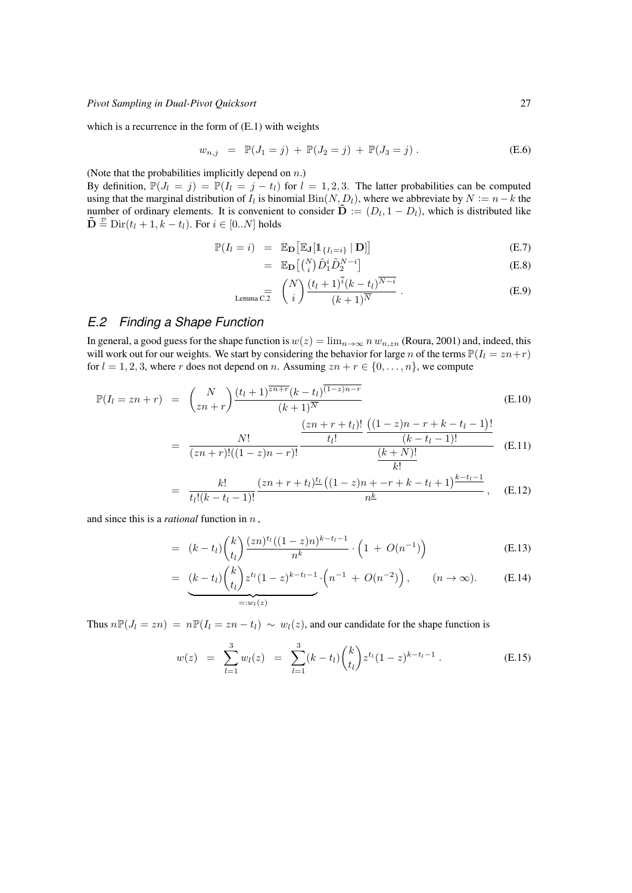which is a recurrence in the form of [\(E.1\)](#page-25-1) with weights

$$
w_{n,j} = \mathbb{P}(J_1 = j) + \mathbb{P}(J_2 = j) + \mathbb{P}(J_3 = j).
$$
 (E.6)

(Note that the probabilities implicitly depend on  $n$ .)

By definition,  $\mathbb{P}(J_l = j) = \mathbb{P}(I_l = j - t_l)$  for  $l = 1, 2, 3$ . The latter probabilities can be computed using that the marginal distribution of  $I_l$  is binomial  $Bin(N, D_l)$ , where we abbreviate by  $N := n - k$  the number of ordinary elements. It is convenient to consider  $\tilde{\mathbf{D}} := (D_l, 1 - D_l)$ , which is distributed like  $\mathbf{\tilde{D}} \stackrel{\mathcal{D}}{=} \mathrm{Dir}(t_l + 1, k - t_l)$ . For  $i \in [0..N]$  holds

$$
\mathbb{P}(I_l = i) = \mathbb{E}_{\mathbf{D}}\big[\mathbb{E}_{\mathbf{J}}[\mathbb{1}_{\{I_l = i\}} | \mathbf{D}]\big] \tag{E.7}
$$

$$
= \mathbb{E}_{\mathbf{D}} \left[ \binom{N}{i} \tilde{D}_1^i \tilde{D}_2^{N-i} \right] \tag{E.8}
$$

Lemma C.2 
$$
\binom{N}{i} \frac{(t_l+1)^i (k-t_l)^{N-i}}{(k+1)^N}
$$
. (E.9)

### *E.2 Finding a Shape Function*

In general, a good guess for the shape function is  $w(z) = \lim_{n\to\infty} n w_{n,zn}$  [\(Roura, 2001\)](#page-11-15) and, indeed, this will work out for our weights. We start by considering the behavior for large n of the terms  $\mathbb{P}(I_1 = zn + r)$ for  $l = 1, 2, 3$ , where r does not depend on n. Assuming  $zn + r \in \{0, ..., n\}$ , we compute

$$
\mathbb{P}(I_l = zn + r) = {N \choose zn + r} \frac{(t_l + 1)^{\overline{zn+r}} (k - t_l)^{\overline{(1-z)n-r}}}{(k+1)^N}
$$
\n
$$
(zn + r + t_l)! \ (1-z)n - r + k - t_l - 1)!
$$
\n(E.10)

$$
= \frac{N!}{(zn+r)!((1-z)n-r)!} \frac{\frac{(k-i)!}{(k-i)!} \frac{(k-i-1)!}{(k-i)!}}{\frac{(k+N)!}{k!}}
$$
 (E.11)

$$
= \frac{k!}{t_l!(k-t_l-1)!} \frac{(zn+r+t_l)^{t_l} ((1-z)n + -r+k-t_l+1)^{k-t_l-1}}{n^{\underline{k}}} , \quad (E.12)
$$

and since this is a *rational* function in n ,

$$
= (k-t_l) {k \choose t_l} \frac{(zn)^{t_l} ((1-z)n)^{k-t_l-1}}{n^k} \cdot \left(1 + O(n^{-1})\right)
$$
 (E.13)

<span id="page-26-0"></span>
$$
= \underbrace{(k-t_l)\binom{k}{t_l} z^{t_l} (1-z)^{k-t_l-1}}_{=:w_l(z)} \cdot \left(n^{-1} + O(n^{-2})\right), \qquad (n \to \infty). \tag{E.14}
$$

Thus  $n\mathbb{P}(J_l = zn) = n\mathbb{P}(I_l = zn - t_l) \sim w_l(z)$ , and our candidate for the shape function is

$$
w(z) = \sum_{l=1}^{3} w_l(z) = \sum_{l=1}^{3} (k - t_l) {k \choose t_l} z^{t_l} (1 - z)^{k - t_l - 1}.
$$
 (E.15)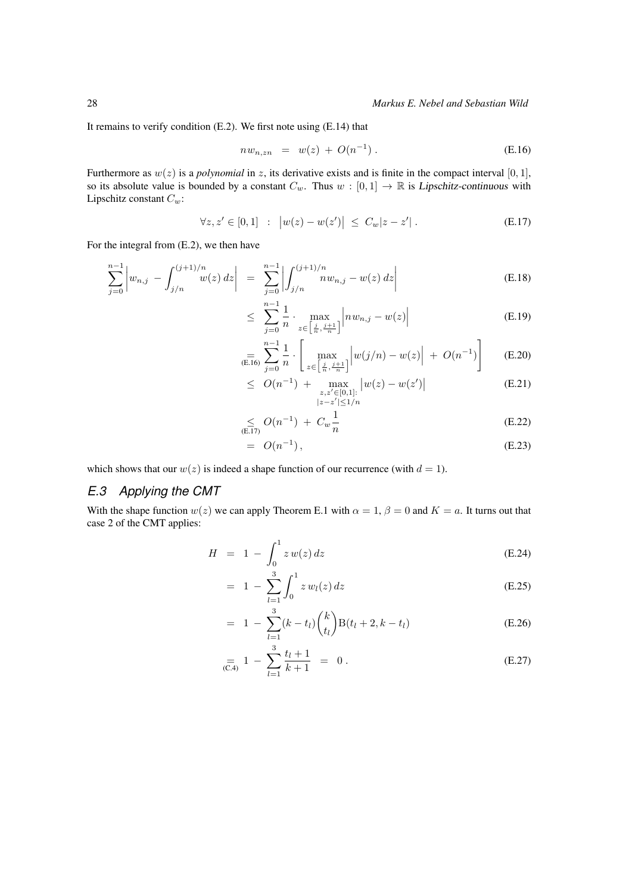It remains to verify condition [\(E.2\)](#page-25-2). We first note using [\(E.14\)](#page-26-0) that

<span id="page-27-1"></span><span id="page-27-0"></span>
$$
nw_{n,zn} = w(z) + O(n^{-1}). \tag{E.16}
$$

Furthermore as  $w(z)$  is a *polynomial* in z, its derivative exists and is finite in the compact interval [0, 1], so its absolute value is bounded by a constant  $C_w$ . Thus  $w : [0,1] \to \mathbb{R}$  is Lipschitz-continuous with Lipschitz constant  $C_w$ :

$$
\forall z, z' \in [0, 1] : |w(z) - w(z')| \le C_w |z - z'|.
$$
 (E.17)

For the integral from [\(E.2\)](#page-25-2), we then have

$$
\sum_{j=0}^{n-1} \left| w_{n,j} - \int_{j/n}^{(j+1)/n} w(z) dz \right| = \sum_{j=0}^{n-1} \left| \int_{j/n}^{(j+1)/n} n w_{n,j} - w(z) dz \right| \tag{E.18}
$$

$$
\leq \sum_{j=0}^{n-1} \frac{1}{n} \cdot \max_{z \in \left[\frac{j}{n}, \frac{j+1}{n}\right]} \left| n w_{n,j} - w(z) \right| \tag{E.19}
$$

$$
\underset{\text{(E.16)}}{=}\sum_{j=0}^{n-1}\frac{1}{n}\cdot\left[\underset{z\in\left[\frac{j}{n},\frac{j+1}{n}\right]}{\max}\left|w(j/n)-w(z)\right|+O(n^{-1})\right] \tag{E.20}
$$

$$
\leq O(n^{-1}) + \max_{\substack{z,z' \in [0,1]: \\ |z-z'| \le 1/n}} |w(z) - w(z')| \tag{E.21}
$$

$$
\leq O(n^{-1}) + C_w \frac{1}{n}
$$
 (E.22)

$$
= O(n^{-1}), \tag{E.23}
$$

which shows that our  $w(z)$  is indeed a shape function of our recurrence (with  $d = 1$ ).

### *E.3 Applying the CMT*

With the shape function  $w(z)$  we can apply [Theorem E.1](#page-25-3) with  $\alpha = 1$ ,  $\beta = 0$  and  $K = a$ . It turns out that [case 2](#page-25-4) of the CMT applies:

$$
H = 1 - \int_0^1 z w(z) dz
$$
 (E.24)

$$
= 1 - \sum_{l=1}^{3} \int_0^1 z w_l(z) dz
$$
 (E.25)

$$
= 1 - \sum_{l=1}^{3} (k - t_l) {k \choose t_l} B(t_l + 2, k - t_l)
$$
 (E.26)

$$
\underset{\text{(C.4)}}{=} 1 - \sum_{l=1}^{3} \frac{t_l + 1}{k + 1} = 0. \tag{E.27}
$$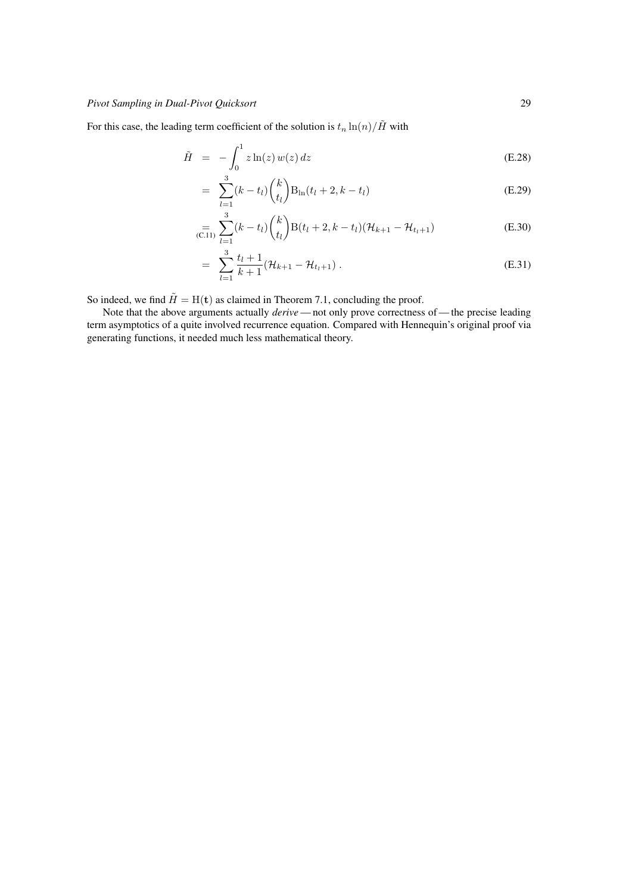For this case, the leading term coefficient of the solution is  $t_n \ln(n)/\tilde{H}$  with

$$
\tilde{H} = -\int_0^1 z \ln(z) w(z) dz
$$
\n(E.28)

$$
= \sum_{l=1}^{3} (k - t_l) {k \choose t_l} B_{\ln}(t_l + 2, k - t_l)
$$
 (E.29)

$$
\sum_{(C.11)}^{3} \sum_{l=1}^{3} (k - t_l) {k \choose t_l} B(t_l + 2, k - t_l) (\mathcal{H}_{k+1} - \mathcal{H}_{t_l+1})
$$
(E.30)

$$
= \sum_{l=1}^{3} \frac{t_l + 1}{k + 1} (\mathcal{H}_{k+1} - \mathcal{H}_{t_l+1}). \tag{E.31}
$$

So indeed, we find  $\tilde{H} = H(t)$  as claimed in [Theorem 7.1,](#page-7-2) concluding the proof.

Note that the above arguments actually *derive* — not only prove correctness of — the precise leading term asymptotics of a quite involved recurrence equation. Compared with [Hennequin'](#page-11-2)s original proof via generating functions, it needed much less mathematical theory.